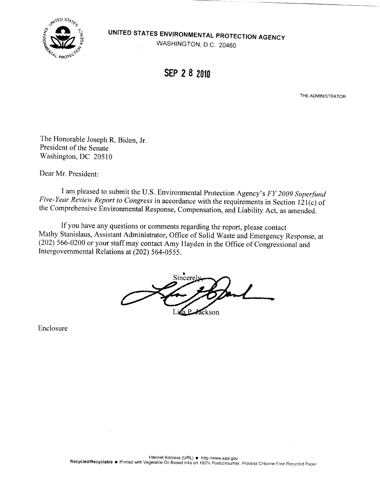

UNITED STATES ENVIRONMENTAL PROTECTION AGENCY

WASHINGTON, D.C. 20460

SEP 2 8 2010

THE ADMINISTRATOR

The Honorable Joseph R. Biden, Jr. President of the Senate Washington, DC 20510

Dear Mr. President:

I am pleased to submit the U.S. Environmental Protection Agency's FY 2009 Superfund Five-Year Review Report to Congress in accordance with the requirements in Section 121(c) of the Comprehensive Environmental Response, Compensation, and Liability Act, as amended.

If you have any questions or comments regarding the report, please contact Mathy Stanislaus, Assistant Administrator, Office of Solid Waste and Emergency Response, at (202) 566-0200 or your staff may contact Amy Hayden in the Office of Congressional and Intergovernmental Relations at (202) 564-0555 .

Sincerel D ackson

Enclosure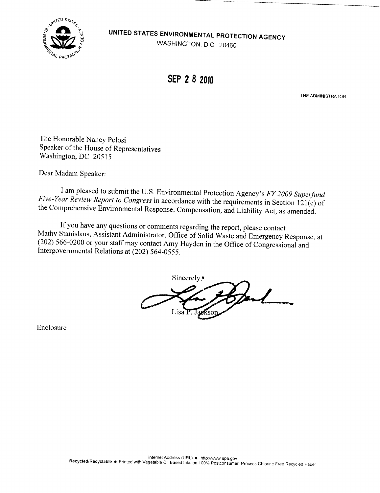**A TED STATES ENVIRONMENTAL PROTECTION AGENCY**<br>WASHINGTON D.C. 20460



SEP 2 8 2010

THE ADMINISTRATOR

The Honorable Nancy Pelosi Speaker of the House of Representatives Washington, DC 20515

Dear Madam Speaker:

I am pleased to submit the U.S. Environmental Protection Agency's FY 2009 Superfund<br>Five-Year Review Report to Congress in accordance with the requirements in Section 121(c) of<br>the Comprehensive Environmental Response, Com

If you have any questions or comments regarding the report, please contact<br>Mathy Stanislaus, Assistant Administrator, Office of Solid Waste and Emergency Response, at  $(202)$  566-0200 or your staff may contact Amy Hayden in the Office of Congressional and Intergovernmental Relations at (202) 564-0555 .

Sincerely, Sand Lisa<sup>7</sup> eksor

Enclosure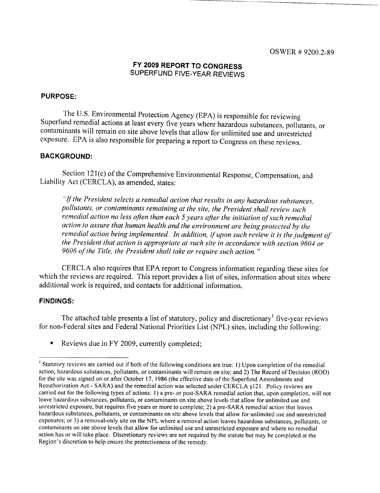# FY 2009 REPORT TO CONGRESS SUPERFUND FIVE-YEAR REVIEWS

# PURPOSE:

The U.S. Environmental Protection Agency (EPA) is responsible for reviewing Superfund remedial actions at least every five years where hazardous substances, pollutants, or contaminants will remain on site above levels that allow for unlimited use and unrestricted exposure. EPA is also responsible for preparing a report to Congress on these reviews.

## BACKGROUND:

Section 121(c) of the Comprehensive Environmental Response, Compensation, and Liability Act (CERCLA), as amended, states :

"If the President selects a remedial action that results in any hazardous substances, pollutants, or contaminants remaining at the site, the President shall review such remedial action no less often than each S years after the initiation of such remedial action to assure that human health and the environment are being protected by the remedial action being implemented. In addition, if upon such review it is the judgment of the President that action is appropriate at such site in accordance with section 9604 or 9606 of the Title, the President shall take or require such action."

CERCLA also requires that EPA report to Congress information regarding these sites for which the reviews are required. This report provides a list of sites, information about sites where additional work is required, and contacts for additional information.

### **FINDINGS:**

The attached table presents a list of statutory, policy and discretionary' five-year reviews for non-Federal sites and Federal National Priorities List (NPL) sites, including the following:

" Reviews due in FY 2009, currently completed;

<sup>&</sup>lt;sup>1</sup> Statutory reviews are carried out if both of the following conditions are true: 1) Upon completion of the remedial action, hazardous substances, pollutants, or contaminants will remain on site; and 2) The Record of Decision (ROD) for the site was signed on or after October 17, 1986 (the effective date of the Superfund Amendments and Reauthorization Act - SARA) and the remedial action was selected under CERCLA § 121 . Policy reviews are carried out for the following types of actions: 1) a pre- or post-SARA remedial action that, upon completion, will not leave hazardous substances, pollutants, or contaminants on site above levels that allow for unlimited use and unrestricted exposure, but requires five years or more to complete; 2) a pre-SARA remedial action that leaves hazardous substances, pollutants, or contaminants on site above levels that allow for unlimited use and unrestricted exposures; or 3) a removal-only site on the NPL where a removal action leaves hazardous substances, pollutants, or contaminants on site above levels that allow for unlimited use and unrestricted exposure and where no remedial action has or will take place. Discretionary reviews are not required by the statute but may be completed at the Region's discretion to help ensure the protectiveness of the remedy.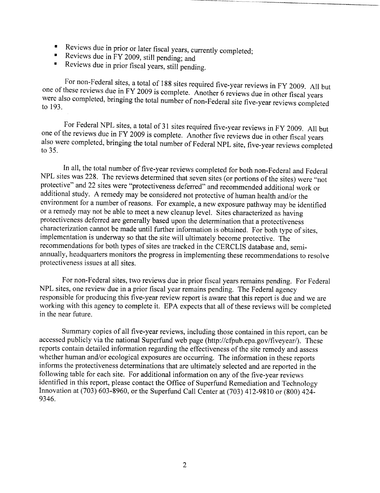- . Reviews due in prior or later fiscal years, currently completed;
- Reviews due in FY 2009, still pending; and
- Reviews due in prior fiscal years, still pending .  $\blacksquare$

For non-Federal sites, a total of 188 sites required five-year reviews in FY 2009. All but<br>one of these reviews due in FY 2009 is complete. Another 6 reviews due in other fiscal years<br>were also completed, bringing the tota

For Federal NPL sites, a total of 31 sites required five-year reviews in FY 2009. All but one of the reviews due in FY 2009 is complete. Another five reviews due in other fiscal years also were completed, bringing the total number of Federal NPL site, five-year reviews completed to 35.

In all, the total number of five-year reviews completed for both non-Federal and Federal NPL sites was 228. The reviews determined that seven sites (or portions of the sites) were "not protective" and 22 sites were "protectiveness deferred" and recommended additional work or additional study. A remedy may be considered not protective of human health and/or the environment for a number of reasons. For example, a new exposure pathway may be identified or a remedy may not be able to meet a new cleanup level . Sites characterized as having protectiveness deferred are generally based upon the determination that a protectiveness characterization cannot be made until further information is obtained. For both type of sites, implementation is underway so that the site will ultimately become protective. The recommendations for both types of sites are tracked in the CERCLIS database and, semiannually, headquarters monitors the progress in implementing these recommendations to resolve protectiveness issues at all sites.

For non-Federal sites, two reviews due in prior fiscal years remains pending. For Federal NPL sites, one review due in a prior fiscal year remains pending. The Federal agency responsible for producing this five-year review report is aware that this report is due and we are working with this agency to complete it. EPA expects that all of these reviews will be completed in the near future.

Summary copies of all five-year reviews, including those contained in this report, can be accessed publicly via the national Superfund web page (http://cfpub.epa.gov/fiveyear/). These reports contain detailed information regarding the effectiveness of the site remedy and assess whether human and/or ecological exposures are occurring. The information in these reports informs the protectiveness determinations that are ultimately selected and are reported in the following table for each site. For additional information on any of the five-year reviews identified in this report, please contact the Office of Superfund Remediation and Technology Innovation at (703) 603-8960, or the Superfund Call Center at (703) 412-9810 or (800) 424- 9346.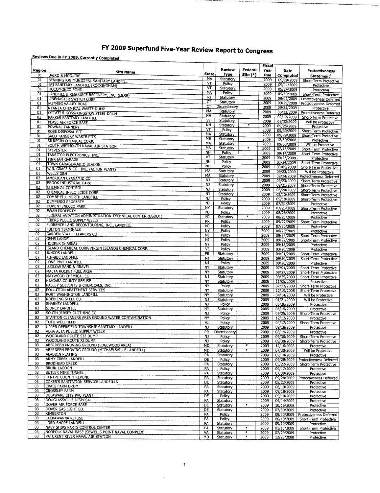# FY 2009 Superfund Five-Year Review Report to Congress

# Reviews Due in FY 2009, Currently Completed

|                       |                                                                              |                        |                            |            | Fiscal             |                          |                                                      |
|-----------------------|------------------------------------------------------------------------------|------------------------|----------------------------|------------|--------------------|--------------------------|------------------------------------------------------|
| Region                | <b>Site Name</b>                                                             | State                  | Review<br>Type             | Federal    | Year               | Date                     | Protectiveness                                       |
| 01<br>01              | <b>BAIRD &amp; MCGUIRE</b>                                                   | MA                     | Statutory                  | Site $(*)$ | <b>Due</b><br>2009 | Completed                | Statement <sup>1</sup>                               |
| 01                    | BENNINGTON MUNICIPAL SANITARY LANDFILL<br>BFI SANITARY LANDFILL (ROCKINGHAM) | VΤ                     | Policy                     |            | 2009               | 09/29/2009<br>09/11/2009 | Short-Term Protective                                |
| 01                    | <b>HOCOMONCO POND</b>                                                        | VT                     | Statutory                  |            | 2009               | 09/24/2009               | Protective<br>Protective                             |
| 01                    | LANDFILL & RESOURCE RECOVERY, INC. (L&RR)                                    | MA                     | Policy                     |            | 2009               | 09/30/2009               | Short-Term Protective                                |
| 01                    | LINEMASTER SWITCH CORP.                                                      | RI                     | Statutory                  |            | 2009               | 09/02/2009               | Protectiveness Deferred                              |
| 01                    | NUTMEG VALLEY ROAD                                                           | ст<br>ст               | Statutory<br>Discretionary |            | 2009               | 09/29/2009               | Protectiveness Deferred                              |
| 01                    | NYANZA CHEMICAL WASTE DUMP                                                   | MA                     | Statutory                  |            | 2009<br>2009       | 09/21/2009<br>05/13/2009 | Protective                                           |
| 01<br>01              | OTTATI & GOSS/KINGSTON STEEL DRUM                                            | NH                     | Statutory                  |            | 2009               | 02/12/2009               | Protectiveness Deferred<br>Short-Term Protective     |
| 01                    | PARKER SANITARY LANDFILL<br>PEASE AIR FORCE BASE                             | v٣                     | Statutory                  |            | 2009               | 09/30/2009               | Will be Protective                                   |
| 01                    | <b>POWNAL TANNERY</b>                                                        | NΗ                     | Statutory                  | ¥          | 2009               | 09/25/2009               | Protective                                           |
| 01                    | <b>ROSE DISPOSAL PIT</b>                                                     | VT                     | Policy                     |            | 2009               | 09/30/2009               | Short-Term Protective                                |
| 01                    | <b>SACO TANNERY WASTE PITS</b>                                               | <b>MA</b><br>ME        | Statutory<br>Statutory     |            | 2009               | 09/29/2009               | Short-Term Protective                                |
| 01                    | SILRESIM CHEMICAL CORP.                                                      | MA                     | Statutory                  |            | 2009<br>2009       | 12/30/2008<br>09/08/2009 | Protective                                           |
| $\overline{01}$<br>01 | SOUTH WEYMOUTH NAVAL AIR STATION                                             | MA                     | Statutory                  | *          | 2009               | 07/13/2009               | Will be Protective<br>Short-Term Protective          |
| 01                    | <b>SYLVESTER</b><br>TANSITOR ELECTRONICS, INC.                               | NH                     | Policy                     |            | 2009               | 09/14/2009               | Short-Term Protective                                |
| 01                    | <b>TINKHAM GARAGE</b>                                                        | v٣                     | Statutory                  |            | 2009               | 09/23/2009               | Protective                                           |
| 01                    | TOWN GARAGE/RADIO BEACON                                                     | <b>NH</b><br><b>NH</b> | Policy                     |            | 2009               | 03/24/2009               | Short-Term Protective                                |
| 01                    | W.R. GRACE & CO., INC. (ACTON PLANT)                                         | MA                     | Policy<br>Statutory        |            | 2009               | 03/05/2009               | Short-Term Protective                                |
| 01                    | <b>WELLS G&amp;H</b>                                                         | MA                     | Statutory                  |            | 2009<br>2009       | 09/23/2009<br>09/24/2009 | Will be Protective<br><b>Protectiveness Deferred</b> |
| 02                    | AMERICAN CYANAMID CO                                                         | NJ                     | Statutory                  |            | 2009               | 09/23/2009               | Short-Term Protective                                |
| 02                    | <b>BROOK INDUSTRIAL PARK</b>                                                 | NJ                     | Statutory                  |            | 2009               | 09/21/2009               | Short-Term Protective                                |
| 02<br>02              | CHEMICAL CONTROL<br>CHEMICAL INSECTICIDE CORP.                               | NJ                     | Statutory                  |            | 2009               | 05/20/2009               | Short-Term Protective                                |
| 02                    | COMBE FILL NORTH LANDFILL                                                    | <b>NJ</b>              | Statutory                  |            | 2009               | 03/10/2009               | Short-Term Protective                                |
| 02                    | D'IMPERIO PROPERTY                                                           | NJ<br><b>NJ</b>        | Policy                     |            | 2009               | 09/18/2009               | Short-Term Protective                                |
| 02                    | <b>DUPONT /NECCO PARK</b>                                                    | <b>NY</b>              | Policy<br>Statutory        |            | 2009<br>2009       | 07/31/2009<br>07/23/2009 | Protective<br>Short-Term Protective                  |
| 02                    | EWAN PROPERTY                                                                | NJ                     | Policy                     |            | 2009               | 08/26/2009               | Protective                                           |
| 02                    | FEDERAL AVIATION ADMINISTRATION TECHNICAL CENTER (USDOT)                     | NJ                     | Statutory                  |            | 2009               | 08/23/2009               | Protective                                           |
| 02<br>02              | FIBERS PUBLIC SUPPLY WELLS                                                   | <b>PR</b>              | Policy                     |            | 2009               | 09/22/2009               | Short-Term Protective                                |
| 02                    | FLORENCE LAND RECONTOURING, INC., LANDFILL<br><b>FULTON TERMINALS</b>        | NJ                     | Policy                     |            | 2009               | 07/30/2009               | Protective                                           |
| 02                    | <b>GARDEN STATE CLEANERS CO.</b>                                             | NY<br>NJ               | Policy                     |            | 2009               | 06/29/2009               | Protective                                           |
| 02                    | <b>GEMS LANDFILL</b>                                                         | NJ                     | Policy<br>Policy           |            | 2009<br>2009       | 09/25/2009<br>09/22/2009 | Short-Term Protective<br>Short-Term Protective       |
| 02                    | <b>HOOKER (S AREA)</b>                                                       | NY                     | Policy                     |            | 2009               | 09/18/2009               | Protective                                           |
| 02                    | ISLAND CHEMICAL CORP/VIRGIN ISLANDS CHEMICAL CORP.                           | $\overline{\text{VI}}$ | Policy                     |            | 2009               | 03/20/2009               | Protective                                           |
| 02                    | JUNCOS LANDFILL                                                              | PR                     | Statutory                  |            | 2009               | 04/01/2009               | Short-Term Protective                                |
| 02<br>02              | KIN-BUC LANDFILL<br>LONE PINE LANDFILL                                       | NJ                     | Statutory                  |            | 2009               | 09/30/2009               | Short-Term Protective                                |
| 02                    | LUDLOW SAND & GRAVEL                                                         | NJ<br>NY               | Policy<br>Statutory        |            | 2009<br>2009       | 09/28/2009               | Protective                                           |
| 02                    | MALTA ROCKET FUEL AREA                                                       | NY                     | Statutory                  |            | 2009               | 07/01/2009<br>08/27/2009 | Short-Term Protective<br>Short-Term Protective       |
| 02                    | MAYWOOD CHEMICAL CO.                                                         | NJ                     | Statutory                  |            | 2009               | 09/25/2009               | Short-Term Protective                                |
| 02                    | NIAGARA COUNTY REFUSE                                                        | NY                     | Statutory                  |            | 2009               | 11/05/2008               | Protective                                           |
| 02                    | PASLEY SOLVENTS & CHEMICALS, INC.                                            | NY                     | Policy                     |            | 2009               | 07/23/2009               | Short-Term Protective                                |
| 02<br>02              | POLLUTION ABATEMENT SERVICES<br>PORT WASHINGTON LANDFILL                     | NY                     | Statutory                  |            | 2009               | 12/19/2008               | Short-Term Protective                                |
| 02                    | ROEBLING STEEL CO.                                                           | NY<br>NJ               | Statutory<br>Statutory     |            | 2009<br>2009       | 04/14/2009<br>01/21/2009 | Will be Protective<br>Will be Protective             |
| 02                    | SHARKEY LANDFILL                                                             | N)                     | Policy                     |            | 2009               | 05/26/2009               | Protective                                           |
| 02                    | SIDNEY LANDFILL                                                              | NΥ                     | Statutory                  |            | 2009               | 06/15/2009               | Protective                                           |
| 02                    | SOUTH JERSEY CLOTHING CO.                                                    | <b>NJ</b>              | Policy                     |            | 2009               | 09/25/2009               | Short-Term Protective                                |
| 02                    | STANTON CLEANERS AREA GROUND WATER CONTAMINATION                             | NY                     | Policy                     |            | 2009               | 12/12/2008               | Protective                                           |
| 02                    | TUTU WELLFIELD<br>UPPER DEERFIELD TOWNSHIP SANITARY LANDFILL                 | VI                     | Policy                     |            | 2009               | 04/17/2009               | Short-Term Protective                                |
| 02<br>02              | VEGA ALTA PUBLIC SUPPLY WELLS                                                | NJ<br>PR               | Statutory<br>Discretionary |            | 2009<br>2009       | 09/18/2009               | Protective<br>Protective                             |
| 02                    | WOODLAND ROUTE 532 DUMP                                                      | NJ                     | Policy                     |            | 2009               | 08/19/2009<br>09/30/2009 | Short-Term Protective                                |
| 02                    | WOODLAND ROUTE 72 DUMP                                                       | N)                     | <b>Policy</b>              |            | 2009               | 09/30/2009               | Short-Term Protective                                |
| 03                    | ABERDEEN PROVING GROUND (EDGEWOOD AREA)                                      | MD                     | Statutory                  | ¥          | 2009               | 12/16/2008               | Protective                                           |
| 03                    | ABERDEEN PROVING GROUND (MICHAELSVILLE LANDFILL)                             | MD                     | Statutory                  |            | 2009               | 07/30/2009               | Will be Protective                                   |
| 03<br>03              | ALADDIN PLATING<br>ARMY CREEK LANDFILL                                       | PA                     | Statutory                  |            | 2009               | 09/14/2009               | Protective                                           |
| 03                    | <b>BRODHEAD CREEK</b>                                                        | DE<br>PA               | Policy                     |            | 2009               | 09/28/2009               | Protectiveness Deferred                              |
| 03                    | BRUIN LAGOON                                                                 | PA                     | Statutory<br>Policy        |            | 2009<br>2009       | 05/22/2009<br>09/17/2009 | Short-Term Protective<br>Protective                  |
| 03                    | BUTLER MINE TUNNEL                                                           | PA                     | Statutory                  |            | 2009               | 07/30/2009               | Protective                                           |
| 03                    | CENTRE COUNTY KEPONE                                                         | PA                     | Statutory                  |            | 2009               | 09/28/2009               | <b>Protectiveness Deferred</b>                       |
| 03                    | COKER'S SANITATION SERVICE LANDFILLS                                         | DE                     | Statutory                  |            | 2009               | 05/22/2009               | Protective                                           |
| 03<br>03              | CRAIG FARM DRUM<br><b>CROSSLEY FARM</b>                                      | PA                     | Statutory                  |            | 2009               | 06/19/2009               | Protective                                           |
| 03                    | DELAWARE CITY PVC PLANT                                                      | PA<br>DE               | Statutory<br>Policy        |            | 2009<br>2009       | 09/18/2009<br>09/10/2009 | Protective<br>Protective                             |
| 03                    | DOUGLASSVILLE DISPOSAL                                                       | PÁ                     | Statutory                  |            | 2009               | 04/14/2009               | Protective                                           |
| 03                    | DOVER AIR FORCE BASE                                                         | DÉ                     | Statutory                  | $\ast$     | 2009               | 10/15/2008               | Protective                                           |
| 03                    | DOVER GAS LIGHT CO.                                                          | DE                     | Statutory                  |            | 2009               | 07/30/2009               | Protective                                           |
| 03                    | KIMBERTON                                                                    | PA                     | Policy                     |            | 2009               | 09/30/2009               | Protectiveness Deferred                              |
| 03<br>03              | LACKAWANNA REFUSE<br>LORD-SHOPE LANDFILL                                     | PA<br>PA               | Policy                     |            | 2009               | 06/10/2009               | Short-Term Protective                                |
| 03                    | NAVY SHIPS PARTS CONTROL CENTER                                              | PA                     | Statutory<br>Statutory     | ¥          | 2009<br>2009       | 09/10/2009<br>01/13/2009 | Protective<br>Short-Term Protective                  |
| 03                    | NORFOLK NAVAL BASE (SEWELLS POINT NAVAL COMPLEX)                             | VA                     | Statutory                  | ∗          | 2009               | 07/29/2009               | Protective                                           |
| 03                    | PATUXENT RIVER NAVAL AIR STATION                                             | MD                     | Statutory                  | ∗          | 2009               | 12/23/2008               | Protective                                           |

 $\sim$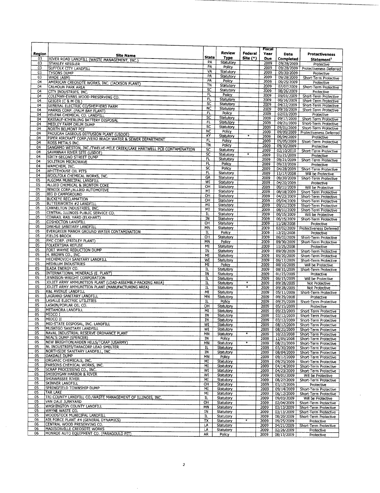|          |                                                                        |                          |                        |                   | <b>Fiscal</b> |                          |                                             |
|----------|------------------------------------------------------------------------|--------------------------|------------------------|-------------------|---------------|--------------------------|---------------------------------------------|
| Region   |                                                                        |                          | <b>Review</b>          | Federal           | Year          | Date                     | <b>Protectiveness</b>                       |
| 03       | <b>Site Name</b><br>RIVER ROAD LANDFILL (WASTE MANAGEMENT, INC.)       | <b>State</b>             | Type                   | Site (*)          | <b>Due</b>    | <b>Completed</b>         | Statement <sup>1</sup>                      |
| 03       | <b>STANLEY KESSLER</b>                                                 | PA                       | Statutory              |                   | 2009          | 09/28/2009               | Protective                                  |
| 03       | SUFFOLK CITY LANDFILL                                                  | PA                       | Policy                 |                   | 2009          |                          | 09/28/2009 Protectiveness Deferred          |
| 03       | <b>TYSONS DUMP</b>                                                     | VA                       | Statutory              |                   | 2009          | 09/30/2009               | Protective                                  |
| 03       | WADE (ABM)                                                             | PA                       | Statutory              |                   | 2009          | 09/28/2009               | Short-Term Protective                       |
| 04       | AMERICAN CREOSOTE WORKS, INC. (JACKSON PLANT)                          | PA                       | Policy                 |                   | 2009          | 09/25/2009               | Protective                                  |
| 04       | CALHOUN PARK AREA                                                      | ΤN                       | Statutory              |                   | 2009          | 07/07/2009               | Short-Term Protective                       |
| 04       | CITY INDUSTRIES, INC.                                                  | SC                       | Statutory              |                   | 2009          | 08/26/2009               | Protective                                  |
| 04       | COLEMAN-EVANS WOOD PRESERVING CO.                                      | FL                       | Policy                 |                   | 2009          | 09/03/2009               | Short-Term Protective                       |
| 04       | GEIGER (C & M OIL)                                                     | FL                       | Statutory              |                   | 2009          | 06/16/2009               | Short-Term Protective                       |
| 04       | GENERAL ELECTRIC CO/SHEPHERD FARM                                      | SC                       | Statutory              |                   | 2009          | 04/22/2009               | Short-Term Protective                       |
| 04       | HARRIS CORP. (PALM BAY PLANT)                                          | ŃĈ                       | Statutory              |                   | 2009          | 09/10/2009               | Short-Term Protective                       |
| 04       | HELENA CHEMICAL CO. LANDFILL                                           | FL                       | Policy                 |                   | 2009          | 02/03/2009               | Protective                                  |
| 04       | KASSAUF-KIMERLING BATTERY DISPOSAL                                     | SC                       | Statutory              |                   | 2009          | 09/17/2009               | Short-Term Protective                       |
| 04       | MEDLEY FARM DRUM DUMP                                                  | FL                       | Statutory              |                   | 2009          | 09/21/2009               | Short-Term Protective                       |
| 04       | <b>NORTH BELMONT PCE</b>                                               | $\overline{\mathsf{SC}}$ | Statutory              |                   | 2009          | 09/01/2009               | Short-Term Protective                       |
| 04       | PADUCAH GASEOUS DIFFUSION PLANT (USDOE)                                | <b>NC</b>                | Policy                 |                   | 2009          | 09/09/2009               | <b>Protectiveness Deferred</b>              |
| 04       | PIPER AIRCRAFT CORP./VERO BEACH WATER & SEWER DEPARTMENT               | ΚŸ                       | Statutory              | $\ast$            | 2009          | 06/04/2009               | Protective                                  |
| 04       | ROSS METALS INC.                                                       | FL                       | Policy                 |                   | 2009          | 05/05/2009               | Short-Term Protective                       |
| 04       | SANGAMO WESTON, INC./TWELVE-MILE CREEK/LAKE HARTWELL PCB CONTAMINATION | ΤN                       | Policy                 |                   | 2009          | 09/30/2009               | Protective                                  |
| 04       | SAVANNAH RIVER SITE (USDOE)                                            | SC                       | Statutory              |                   | 2009          | 02/10/2010               | Short-Term Protective                       |
| 04       | SIXTY-SECOND STREET DUMP                                               | SC                       | Statutory              | ¥                 | 2009          | 01/21/2009               | Protective                                  |
| 04       | <b>SOLITRON MICROWAVE</b>                                              | FL                       | Statutory              |                   | 2009          | 09/21/2009               | Short-Term Protective                       |
| 04       | WAMCHEM, INC.                                                          | FL                       | Policy                 |                   | 2009          | 09/22/2009               | Protective                                  |
| 04       | WHITEHOUSE OIL PITS                                                    | SC                       | Policy                 |                   | 2009          | 04/28/2009               | Short-Term Protective                       |
| 04       | WOOLFOLK CHEMICAL WORKS, INC.                                          | FL.                      | Statutory              |                   | 2009          | 11/17/2008               | Will be Protective                          |
| 05       | ALGOMA MUNICIPAL LANDFILL                                              | GA                       | Statutory              |                   | 2009          | 09/30/2009               | Short-Term Protective                       |
| 05       | ALLIED CHEMICAL & IRONTON COKE                                         | WI                       | Statutory              |                   | 2009          | 04/20/2009               | Protective                                  |
| 05       |                                                                        | ΟН                       | Statutory              |                   | 2009          | 09/11/2009               | Will be Protective                          |
| 05       | BENDIX CORP./ALLIED AUTOMOTIVE<br><b>BIG D CAMPGROUND</b>              | MI                       | Statutory              |                   | 2009          | 08/18/2009               | Short-Term Protective                       |
| 05       | <b>BUCKEYE RECLAMATION</b>                                             | OH                       | Statutory              |                   | 2009          | 04/23/2009               | Short-Term Protective                       |
| 05       | <b>BUTTERWORTH #2 LANDFILL</b>                                         | OH                       | Statutory              |                   | 2009          | 05/04/2009               | Short-Term Protective                       |
| 05       | CANNELTON INDUSTRIES, INC.                                             | MI                       | Statutory              |                   | 2009          | 09/21/2009               | Short-Term Protective                       |
| 05       |                                                                        | MI                       | Statutory              |                   | 2009          | 08/11/2009               | Short-Term Protective                       |
| 05       | CENTRAL ILLINOIS PUBLIC SERVICE CO.<br>CONRAIL RAIL YARD (ELKHART)     | $I$ L                    | Statutory              |                   | 2009          | 06/15/2009               | Will be Protective                          |
| 05       | <b>COSHOCTON LANDFILL</b>                                              | IN                       | Statutory              |                   | 2009          | 06/15/2009               | Short-Term Protective                       |
| 05       |                                                                        | OH                       | Statutory              |                   | 2009          | 11/28/2008               | Protective                                  |
| 05       | DAKHUE SANITARY LANDFILL                                               | MN                       | Statutory              |                   | 2009          | 02/02/2009               | Protectiveness Deferred                     |
| 05       | EVERGREEN MANOR GROUND WATER CONTAMINATION                             | IL                       | Policy                 |                   | 2009          | 12/23/2008               | Protective                                  |
|          | <b>FIELDS BROOK</b>                                                    | OH                       | Statutory              |                   | 2009          | 06/02/2009               | Short-Term Protective                       |
| 05<br>05 | FMC CORP. (FRIDLEY PLANT)                                              | MN                       | Policy                 |                   | 2009          | 09/30/2009               | Short-Term Protective                       |
| 05       | <b>FOLKERTSMA REFUSE</b>                                               | ΜI                       | Statutory              |                   | 2009          | 11/25/2008               | Protective                                  |
| 05       | FORT WAYNE REDUCTION DUMP                                              | IN                       | Statutory              |                   | 2009          | 09/09/2009               | Short-Term Protective                       |
| 05       | H. BROWN CO., INC.<br>HECHIMOVICH SANITARY LANDFILL                    | MÏ                       | Statutory              |                   | 2009          | 05/20/2009               | Short-Term Protective                       |
| 05       | <b>HEDBLUM INDUSTRIES</b>                                              | WI                       | Statutory              |                   | 2009          | 06/17/2009               | Short-Term Protective                       |
| 05       | <b>ILADA ENERGY CO.</b>                                                | MI                       | Policy                 |                   | 2009          | 08/10/2009               | Will be Protective                          |
| 05       | INTERNATIONAL MINERALS (E. PLANT)                                      | IL                       | Statutory              |                   | 2009          | 08/31/2009               | Short-Term Protective                       |
| 05       | JENNISON-WRIGHT CORPORATION                                            | IN                       | Statutory              |                   | 2009          | 01/23/2009               | Protective                                  |
| 05       | JOLIET ARMY AMMUNITION PLANT (LOAD-ASSEMBLY-PACKING AREA)              | IL                       | Statutory              | $\ast$            | 2009          | 06/15/2009               | Will be Protective                          |
| 05       | JOLIET ARMY AMMUNITION PLANT (MANUFACTURING AREA)                      | IL                       | Statutory              |                   | 2009          | 09/28/2009               | Not Protective                              |
| 05       | <b>K&amp;L AVENUE LANDFILL</b>                                         | ÏĹ                       | Statutory              |                   | 2009          | 09/28/2009               | Not Protective                              |
| 05       | LAGRAND SANITARY LANDFILL                                              | MI                       | Statutory              |                   | 2009          | 05/11/2009               | Short-Term Protective                       |
| 05       | LASALLE ELECTRIC UTILITIES                                             | MN                       | Statutory              |                   | 2009          | 09/29/2008               | Protective                                  |
| 05       | LASKIN/POPLAR OIL CO.                                                  | IL                       | Policy                 |                   | 2009          | 09/25/2009               | Short-Term Protective                       |
| 05       | METAMORA LANDFILL                                                      | OН                       | Statutory              |                   | 2009          | 05/15/2009               | Protective                                  |
| 05       | MIDCO I                                                                | MI<br>IN                 | Statutory              |                   | 2009          | 09/23/2009               | Short-Term Protective                       |
| 05       | MIDCO II                                                               |                          | Statutory              |                   | 2009          | 03/12/2009               | Short-Term Protective                       |
| 05       | MID-STATE DISPOSAL, INC. LANDFILL                                      | IN                       | Statutory              |                   | 2009          | 03/12/2009               | Short-Term Protective                       |
| 05       | MUSKEGO SANITARY LANDFILL                                              | WI<br>WI                 | Statutory              |                   | 2009          | 08/17/2009 1             | Short-Term Protective                       |
| 05       | NAVAL INDUSTRIAL RESERVE ORDNANCE PLANT                                | MŃ                       | Statutory              | ∗                 | 2009          | 08/21/2009               | Short-Term Protective                       |
| 05       | NEAL'S DUMP (SPENCER)                                                  |                          | Statutory              |                   | 2009          | 10/22/2008               | Short-Term Protective                       |
| 05       | NEW BRIGHTON/ARDEN HILLS/TCAAP (USARMY)                                | ΙN<br>MN                 | Policy                 | $\ast$            | 2009          | 12/05/2008               | Short-Term Protective                       |
| 05       | NL INDUSTRIES/TARACORP LEAD SMELTER                                    | IL                       | Statutory              |                   | 2009          | 08/21/2009               | Short-Term Protective                       |
| 05       | NORTHSIDE SANITARY LANDFILL, INC                                       | IN                       | Statutory              |                   | 2009          | 03/30/2009               | Short-Term Protective                       |
| 05       | <b>OAKDALE DUMP</b>                                                    |                          | Statutory              |                   | 2009          | 08/04/2009               | Short-Term Protective                       |
| 05       | ORGANIC CHEMICALS, INC.                                                | ΜN<br>МI                 | Policy                 |                   | 2009          | 09/17/2009               | Short-Term Protective                       |
| 05       | PARSONS CHEMICAL WORKS, INC.                                           | ΜI                       | Statutory<br>Statutory |                   | 2009          | 09/25/2009               | Short-Term Protective                       |
| 05       | SCRAP PROCESSING CO., INC.                                             | WI                       | Statutory              |                   | 2009<br>2009  | 04/14/2009               | Short-Term Protective                       |
| 05       | SHEBOYGAN HARBOR & RIVER                                               | WI                       | Statutory              |                   | 2009          | 04/23/2009               | Short-Term Protective                       |
| 05       | SHIAWASSEE RIVER                                                       | MI                       | Statutory              |                   |               | 09/01/2009               | Will be Protective                          |
| 05       | SKINNER LANDFILL                                                       | OН                       | Statutory              |                   | 2009          | 08/27/2009               | Short-Term Protective                       |
| 05       | SPRINGFIELD TOWNSHIP DUMP                                              | MI                       | Statutory              |                   | 2009<br>2009  | 03/17/2009               | Protective                                  |
| 05       | <b>TAR LAKE</b>                                                        | MI                       | Statutory              |                   | 2009          | 09/14/2009<br>06/12/2009 | Short-Term Protective                       |
| 05       | TRI-COUNTY LANDFILL CO./WASTE MANAGEMENT OF ILLINOIS, INC.             | IL                       | Statutory              |                   | 2009          | 09/03/2009               | Short-Term Protective<br>Will be Protective |
| 05       | VAN DALE JUNKYARD                                                      | OН                       | Statutory              |                   | 2009          | 02/04/2009               | Short-Term Protective                       |
| 05       | WASHINGTON COUNTY LANDFILL                                             | MN                       | Statutory              |                   | 2009          | 03/13/2009               | Short-Term Protective                       |
| 05       | WAYNE WASTE OIL                                                        | IN                       | Statutory              |                   | 2009          | 03/13/2009               | Short-Term Protective                       |
| 05       | WOODSTOCK MUNICIPAL LANDFILL                                           | $_{\rm IL}$              | Statutory              |                   | 2009          | 08/20/2009               | Short-Term Protective                       |
| 06       | AIR FORCE PLANT #4 (GENERAL DYNAMICS)                                  | TX                       | Statutory              | $\overline{\ast}$ | 2009          | 09/25/2009               | Protective                                  |
| 06       | CENTRAL WOOD PRESERVING CO.                                            | LA                       | Statutory              |                   | 2009          | 04/21/2009               | Short-Term Protective                       |
| 06       | MADISONVILLE CREOSOTE WORKS                                            | LA                       | Statutory              |                   | 2009          | 02/26/2009               | Protective                                  |
| 06       | MONROE AUTO EQUIPMENT CO. (PARAGOULD PIT)                              | AR                       | Policy                 |                   | 2009          | 08/13/2009               | Protective                                  |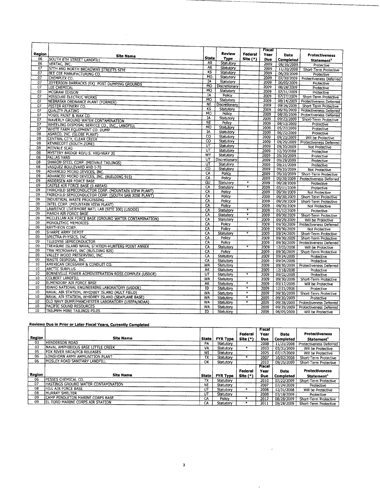| Region<br>Federal<br>Year<br><b>Date</b><br><b>Protectiveness</b><br><b>Site Name</b><br><b>State</b><br>Type<br>06<br>Site (*)<br>SOUTH 8TH STREET LANDFILL<br>Due<br>Completed<br>Statement <sup>1</sup><br><b>AR</b><br>Statutory<br>06<br>VERTAC, INC.<br>2009<br>06/16/2009<br>Protective<br><b>AR</b><br>07<br>Statutory<br>57TH AND NORTH BROADWAY STREETS SITE<br>2009<br>11/20/2008<br>Short-Term Protective<br>KS<br>$\overline{07}$<br>Statutory<br>2009<br>BEE CEE MANUFACTURING CO.<br>06/30/2009<br>Protective<br><b>MO</b><br>Statutory<br>07<br>2009<br>CHEMPLEX CO.<br>07/30/2009<br>Protectiveness Deferred<br>IA<br>Statutory<br>07<br>2009<br>06/05/2009<br>JEFFERSON BARRACKS (EX) POST DUMPING GROUNDS<br>Protective<br><b>MO</b><br>Discretionary<br>07<br>2009<br>08/28/2009<br>LEE CHEMICAL<br>Protective<br><b>MO</b><br>Statutory<br>07<br>2009<br>07/31/2009<br><b>MCGRAW EDISON</b><br>Protective<br><b>IA</b><br>Policy<br>07<br>2009<br>07/27/2009<br><b>MISSOURI ELECTRIC WORKS</b><br>Short-Term Protective<br><b>MO</b><br>Statutory<br>2009<br>07<br>08/14/2009<br>Protectiveness Deferred<br>NEBRASKA ORDNANCE PLANT (FORMER)<br><b>NE</b><br>Discretionary<br>2009<br>$\overline{07}$<br>09/16/2009<br>PESTER REFINERY CO.<br>Short-Term Protective<br>KS<br>Statutory<br>2009<br>06/30/2009<br>$\overline{07}$<br>Protectiveness Deferred<br><b>QUALITY PLATING</b><br><b>MO</b><br>Policy<br>2009<br>08/20/2009<br>07<br>Protectiveness Deferred<br>VOGEL PAINT & WAX CO.<br>ΙA<br>Statutory<br>2009<br>09/23/2009<br>07<br>Short-Term Protective<br>WAVERLY GROUND WATER CONTAMINATION<br><b>NE</b><br>Policy<br>2009<br>08/13/2009<br>07<br>Protective<br>WHEELING DISPOSAL SERVICE CO., INC., LANDFILL<br>MO<br>Statutory<br>2009<br>05/27/2009<br>Protective<br>07<br>WHITE FARM EQUIPMENT CO. DUMP<br><b>IA</b><br>Statutory<br>2009<br>06/22/2009<br>Protective<br>08<br>ASARCO, INC. (GLOBE PLANT)<br>CO<br>Statutory<br>2009<br>09/23/2009<br>Will be Protective<br>08<br>CENTRAL CITY, CLEAR CREEK<br>$\overline{c}$<br>Statutory<br>2009<br>09/29/2009<br>Protectiveness Deferred<br>08<br>KENNECOTT (SOUTH ZONE)<br>ŧπ<br>Statutory<br>2009<br>09/30/2009<br>Not Protective<br>08<br>MIDVALE SLAG<br>UΤ<br>Statutory<br>2009<br>12/30/2008<br>Protective<br>08<br>MYSTERY BRIDGE RD/U.S. HIGHWAY 20<br>WY<br>Statutory<br>2009<br>09/30/2009<br>Protective<br>08<br>PALLAS YARD<br>$\overline{\mathtt{u}^{\mathtt{r}}}$<br>Discretionary<br>2009<br>09/29/2009<br>Protective<br>08<br>SHARON STEEL CORP. (MIDVALE TAILINGS)<br>UT<br>Statutory<br>2009<br>09/21/2009<br>Protective<br>08<br>VASQUEZ BOULEVARD AND I-70<br>$\overline{c}$<br>Statutory<br>2009<br>09/30/2009<br>Not Protective<br>09<br>ADVANCED MICRO DEVICES, INC.<br>CA<br>Policy<br>2009<br>09/30/2009<br>Short-Term Protective<br>09<br>ADVANCED MICRO DEVICES, INC. (BUILDING 915)<br>CA<br>Policy<br>2009<br>09/30/2009<br>Protectiveness Deferred<br>09<br><b>ANDERSEN AIR FORCE BASE</b><br>GU<br>Statutory<br>¥<br>2009<br>09/28/2009<br>Protective<br>09<br>CASTLE AIR FORCE BASE (6 AREAS)<br>CÄ<br>¥<br>Statutory<br>2009<br>03/11/2009<br>Protective<br>09<br>FAIRCHILD SEMICONDUCTOR CORP. (MOUNTAIN VIEW PLANT)<br>CA<br>Policy<br>2009<br>09/30/2009<br>Not Protective<br>$\overline{09}$<br>FAIRCHILD SEMICONDUCTOR CORP. (SOUTH SAN JOSE PLANT)<br>CA<br>Policy<br>2009<br>09/30/2009<br>Short-Term Protective<br>09<br><b>INDUSTRIAL WASTE PROCESSING</b><br>CÂ<br>Policy<br>2009<br>09/29/2009<br>Short-Term Protective<br>09<br>INTEL CORP. (MOUNTAIN VIEW PLANT)<br>CA<br>Policy<br>2009<br>09/30/2009<br><b>Not Protective</b><br>09<br>LAWRENCE LIVERMORE NATL LAB (SITE 300) (USDOE)<br><b>CA</b><br>¥<br>Statutory<br>2009<br>01/12/2009<br>Protective<br>09<br>MARCH AIR FORCE BASE<br>CA<br>Statutory<br>*<br>2009<br>09/30/2009<br>Short-Term Protective<br>09<br>MCCLELLAN AIR FORCE BASE (GROUND WATER CONTAMINATION)<br>CA<br>$\overline{\ast}$<br>Statutory<br>2009<br>09/29/2009<br>Will be Protective<br>09<br>MONOLITHIC MEMORIES<br>CA<br>Policy<br>2009<br>09/30/2009<br>Protectiveness Deferred<br>09<br>RAYTHEON CORP.<br><b>CA</b><br>Policy<br>2009<br>09/30/2009<br>Not Protective<br>09<br>SHARPE ARMY DEPOT<br>CA<br>¥<br>Statutory<br>2009<br>09/24/2009<br>Short-Term Protective<br>09<br>SPECTRA-PHYSICS, INC.<br>$\overline{c}$<br>Policy<br>2009<br>09/30/2009<br>Short-Term Protective<br>09<br>TELEDYNE SEMICONDUCTOR<br>ĆÄ<br>Policy<br>2009<br>09/30/2009<br>Protectiveness Deferred<br>09<br>TREASURE ISLAND NAVAL STATION-HUNTERS POINT ANNEX<br>CA<br>¥<br>Statutory<br>2009<br>12/03/2008<br>Will be Protective<br>09<br>TRW MICROWAVE, INC (BUILDING 825)<br>$\overline{CA}$<br>Policy<br>2009<br>09/30/2009<br>Short-Term Protective<br>09<br>VALLEY WOOD PRESERVING, INC.<br>$\overline{CA}$<br>Statutory<br>2009<br>09/24/2009<br>Protective<br>09<br>WASTE DISPOSAL, INC.<br><b>CA</b><br>Statutory<br>2009<br>09/04/2009<br>Protective<br>10<br>AMERICAN CROSSARM & CONDUIT CO.<br>WA<br>Statutory<br>2009<br>09/30/2009<br><b>Protectiveness Deferred</b><br>10<br><b>ARCTIC SURPLUS</b><br>AK<br>2009<br>Statutory<br>12/18/2008<br>Protective<br>10<br>BONNEVILLE POWER ADMINISTRATION ROSS COMPLEX (USDOE)<br>UT<br>$\overline{\ast}$<br>Statutory<br>2009<br>09/02/2009<br>Protective<br>10<br><b>COLBERT LANDFILL</b><br><b>WA</b><br>Statutory<br>2009<br>09/30/2009<br>Short-Term Protective<br>10<br>ELMENDORF AIR FORCE BASE<br>AK<br>Ŧ<br>Statutory<br>2009<br>03/17/2009<br>Will be Protective<br>10<br>IDAHO NATIONAL ENGINEERING LABORATORY (USDOE)<br>$\overline{ID}$<br>¥<br>Statutory<br>2009<br>12/21/2006<br>Protective<br>10<br>NAVAL AIR STATION, WHIDBEY ISLAND (AULT FIELD)<br>WA<br>¥<br>Statutory<br>2009<br>09/30/2009<br>Short-Term Protective<br>10<br>NAVAL AIR STATION, WHIDBEY ISLAND (SEAPLANE BASE)<br><b>WA</b><br>₮<br>Statutory<br>2009<br>09/30/2009<br>Protective<br>10<br>OLD NAVY DUMP/MANCHESTER LABORATORY (USEPA/NOAA)<br>¥<br><b>WA</b><br>Statutory<br>2009<br>09/28/2009   Protectiveness Deferred<br>$\overline{10}$<br>PACIFIC SOUND RESOURCES<br><b>WA</b><br>Statutory<br>2009<br>09/29/2009<br>Protectiveness Deferred<br>10<br>TRIUMPH MINE TAILINGS PILES<br>ID<br>Statutory<br>2009<br>06/05/2009<br>Will be Protective |  |               | Fiscal |  |
|-----------------------------------------------------------------------------------------------------------------------------------------------------------------------------------------------------------------------------------------------------------------------------------------------------------------------------------------------------------------------------------------------------------------------------------------------------------------------------------------------------------------------------------------------------------------------------------------------------------------------------------------------------------------------------------------------------------------------------------------------------------------------------------------------------------------------------------------------------------------------------------------------------------------------------------------------------------------------------------------------------------------------------------------------------------------------------------------------------------------------------------------------------------------------------------------------------------------------------------------------------------------------------------------------------------------------------------------------------------------------------------------------------------------------------------------------------------------------------------------------------------------------------------------------------------------------------------------------------------------------------------------------------------------------------------------------------------------------------------------------------------------------------------------------------------------------------------------------------------------------------------------------------------------------------------------------------------------------------------------------------------------------------------------------------------------------------------------------------------------------------------------------------------------------------------------------------------------------------------------------------------------------------------------------------------------------------------------------------------------------------------------------------------------------------------------------------------------------------------------------------------------------------------------------------------------------------------------------------------------------------------------------------------------------------------------------------------------------------------------------------------------------------------------------------------------------------------------------------------------------------------------------------------------------------------------------------------------------------------------------------------------------------------------------------------------------------------------------------------------------------------------------------------------------------------------------------------------------------------------------------------------------------------------------------------------------------------------------------------------------------------------------------------------------------------------------------------------------------------------------------------------------------------------------------------------------------------------------------------------------------------------------------------------------------------------------------------------------------------------------------------------------------------------------------------------------------------------------------------------------------------------------------------------------------------------------------------------------------------------------------------------------------------------------------------------------------------------------------------------------------------------------------------------------------------------------------------------------------------------------------------------------------------------------------------------------------------------------------------------------------------------------------------------------------------------------------------------------------------------------------------------------------------------------------------------------------------------------------------------------------------------------------------------------------------------------------------------------------------------------------------------------------------------------------------------------------------------------------------------------------------------------------------------------------------------------------------------------------------------------------------------------------------------------------------------------------------------------------------------------------------------------------------------------------------------------------------------------------------------------------------------------------------------------------------------------------------------------------------------------------------------------------------------------------------------------------------------------------------------------------------------------------------------------------------------------------------------------------------------------------------------------------------------------------------------------------------------------------------------------------------------------------------------------------------------------------------------------------------------------------------------------------------------------------------------------------------------------------------------------------------------------------------------------------------------------------------------------------------------------------------------------------------------------------------------------------------------------------------------------------------------------------------------------------------------------------------------------------------------|--|---------------|--------|--|
|                                                                                                                                                                                                                                                                                                                                                                                                                                                                                                                                                                                                                                                                                                                                                                                                                                                                                                                                                                                                                                                                                                                                                                                                                                                                                                                                                                                                                                                                                                                                                                                                                                                                                                                                                                                                                                                                                                                                                                                                                                                                                                                                                                                                                                                                                                                                                                                                                                                                                                                                                                                                                                                                                                                                                                                                                                                                                                                                                                                                                                                                                                                                                                                                                                                                                                                                                                                                                                                                                                                                                                                                                                                                                                                                                                                                                                                                                                                                                                                                                                                                                                                                                                                                                                                                                                                                                                                                                                                                                                                                                                                                                                                                                                                                                                                                                                                                                                                                                                                                                                                                                                                                                                                                                                                                                                                                                                                                                                                                                                                                                                                                                                                                                                                                                                                                                                                                                                                                                                                                                                                                                                                                                                                                                                                                                                                                                                 |  | <b>Review</b> |        |  |
|                                                                                                                                                                                                                                                                                                                                                                                                                                                                                                                                                                                                                                                                                                                                                                                                                                                                                                                                                                                                                                                                                                                                                                                                                                                                                                                                                                                                                                                                                                                                                                                                                                                                                                                                                                                                                                                                                                                                                                                                                                                                                                                                                                                                                                                                                                                                                                                                                                                                                                                                                                                                                                                                                                                                                                                                                                                                                                                                                                                                                                                                                                                                                                                                                                                                                                                                                                                                                                                                                                                                                                                                                                                                                                                                                                                                                                                                                                                                                                                                                                                                                                                                                                                                                                                                                                                                                                                                                                                                                                                                                                                                                                                                                                                                                                                                                                                                                                                                                                                                                                                                                                                                                                                                                                                                                                                                                                                                                                                                                                                                                                                                                                                                                                                                                                                                                                                                                                                                                                                                                                                                                                                                                                                                                                                                                                                                                                 |  |               |        |  |
|                                                                                                                                                                                                                                                                                                                                                                                                                                                                                                                                                                                                                                                                                                                                                                                                                                                                                                                                                                                                                                                                                                                                                                                                                                                                                                                                                                                                                                                                                                                                                                                                                                                                                                                                                                                                                                                                                                                                                                                                                                                                                                                                                                                                                                                                                                                                                                                                                                                                                                                                                                                                                                                                                                                                                                                                                                                                                                                                                                                                                                                                                                                                                                                                                                                                                                                                                                                                                                                                                                                                                                                                                                                                                                                                                                                                                                                                                                                                                                                                                                                                                                                                                                                                                                                                                                                                                                                                                                                                                                                                                                                                                                                                                                                                                                                                                                                                                                                                                                                                                                                                                                                                                                                                                                                                                                                                                                                                                                                                                                                                                                                                                                                                                                                                                                                                                                                                                                                                                                                                                                                                                                                                                                                                                                                                                                                                                                 |  |               |        |  |
|                                                                                                                                                                                                                                                                                                                                                                                                                                                                                                                                                                                                                                                                                                                                                                                                                                                                                                                                                                                                                                                                                                                                                                                                                                                                                                                                                                                                                                                                                                                                                                                                                                                                                                                                                                                                                                                                                                                                                                                                                                                                                                                                                                                                                                                                                                                                                                                                                                                                                                                                                                                                                                                                                                                                                                                                                                                                                                                                                                                                                                                                                                                                                                                                                                                                                                                                                                                                                                                                                                                                                                                                                                                                                                                                                                                                                                                                                                                                                                                                                                                                                                                                                                                                                                                                                                                                                                                                                                                                                                                                                                                                                                                                                                                                                                                                                                                                                                                                                                                                                                                                                                                                                                                                                                                                                                                                                                                                                                                                                                                                                                                                                                                                                                                                                                                                                                                                                                                                                                                                                                                                                                                                                                                                                                                                                                                                                                 |  |               |        |  |
|                                                                                                                                                                                                                                                                                                                                                                                                                                                                                                                                                                                                                                                                                                                                                                                                                                                                                                                                                                                                                                                                                                                                                                                                                                                                                                                                                                                                                                                                                                                                                                                                                                                                                                                                                                                                                                                                                                                                                                                                                                                                                                                                                                                                                                                                                                                                                                                                                                                                                                                                                                                                                                                                                                                                                                                                                                                                                                                                                                                                                                                                                                                                                                                                                                                                                                                                                                                                                                                                                                                                                                                                                                                                                                                                                                                                                                                                                                                                                                                                                                                                                                                                                                                                                                                                                                                                                                                                                                                                                                                                                                                                                                                                                                                                                                                                                                                                                                                                                                                                                                                                                                                                                                                                                                                                                                                                                                                                                                                                                                                                                                                                                                                                                                                                                                                                                                                                                                                                                                                                                                                                                                                                                                                                                                                                                                                                                                 |  |               |        |  |
|                                                                                                                                                                                                                                                                                                                                                                                                                                                                                                                                                                                                                                                                                                                                                                                                                                                                                                                                                                                                                                                                                                                                                                                                                                                                                                                                                                                                                                                                                                                                                                                                                                                                                                                                                                                                                                                                                                                                                                                                                                                                                                                                                                                                                                                                                                                                                                                                                                                                                                                                                                                                                                                                                                                                                                                                                                                                                                                                                                                                                                                                                                                                                                                                                                                                                                                                                                                                                                                                                                                                                                                                                                                                                                                                                                                                                                                                                                                                                                                                                                                                                                                                                                                                                                                                                                                                                                                                                                                                                                                                                                                                                                                                                                                                                                                                                                                                                                                                                                                                                                                                                                                                                                                                                                                                                                                                                                                                                                                                                                                                                                                                                                                                                                                                                                                                                                                                                                                                                                                                                                                                                                                                                                                                                                                                                                                                                                 |  |               |        |  |
|                                                                                                                                                                                                                                                                                                                                                                                                                                                                                                                                                                                                                                                                                                                                                                                                                                                                                                                                                                                                                                                                                                                                                                                                                                                                                                                                                                                                                                                                                                                                                                                                                                                                                                                                                                                                                                                                                                                                                                                                                                                                                                                                                                                                                                                                                                                                                                                                                                                                                                                                                                                                                                                                                                                                                                                                                                                                                                                                                                                                                                                                                                                                                                                                                                                                                                                                                                                                                                                                                                                                                                                                                                                                                                                                                                                                                                                                                                                                                                                                                                                                                                                                                                                                                                                                                                                                                                                                                                                                                                                                                                                                                                                                                                                                                                                                                                                                                                                                                                                                                                                                                                                                                                                                                                                                                                                                                                                                                                                                                                                                                                                                                                                                                                                                                                                                                                                                                                                                                                                                                                                                                                                                                                                                                                                                                                                                                                 |  |               |        |  |
|                                                                                                                                                                                                                                                                                                                                                                                                                                                                                                                                                                                                                                                                                                                                                                                                                                                                                                                                                                                                                                                                                                                                                                                                                                                                                                                                                                                                                                                                                                                                                                                                                                                                                                                                                                                                                                                                                                                                                                                                                                                                                                                                                                                                                                                                                                                                                                                                                                                                                                                                                                                                                                                                                                                                                                                                                                                                                                                                                                                                                                                                                                                                                                                                                                                                                                                                                                                                                                                                                                                                                                                                                                                                                                                                                                                                                                                                                                                                                                                                                                                                                                                                                                                                                                                                                                                                                                                                                                                                                                                                                                                                                                                                                                                                                                                                                                                                                                                                                                                                                                                                                                                                                                                                                                                                                                                                                                                                                                                                                                                                                                                                                                                                                                                                                                                                                                                                                                                                                                                                                                                                                                                                                                                                                                                                                                                                                                 |  |               |        |  |
|                                                                                                                                                                                                                                                                                                                                                                                                                                                                                                                                                                                                                                                                                                                                                                                                                                                                                                                                                                                                                                                                                                                                                                                                                                                                                                                                                                                                                                                                                                                                                                                                                                                                                                                                                                                                                                                                                                                                                                                                                                                                                                                                                                                                                                                                                                                                                                                                                                                                                                                                                                                                                                                                                                                                                                                                                                                                                                                                                                                                                                                                                                                                                                                                                                                                                                                                                                                                                                                                                                                                                                                                                                                                                                                                                                                                                                                                                                                                                                                                                                                                                                                                                                                                                                                                                                                                                                                                                                                                                                                                                                                                                                                                                                                                                                                                                                                                                                                                                                                                                                                                                                                                                                                                                                                                                                                                                                                                                                                                                                                                                                                                                                                                                                                                                                                                                                                                                                                                                                                                                                                                                                                                                                                                                                                                                                                                                                 |  |               |        |  |
|                                                                                                                                                                                                                                                                                                                                                                                                                                                                                                                                                                                                                                                                                                                                                                                                                                                                                                                                                                                                                                                                                                                                                                                                                                                                                                                                                                                                                                                                                                                                                                                                                                                                                                                                                                                                                                                                                                                                                                                                                                                                                                                                                                                                                                                                                                                                                                                                                                                                                                                                                                                                                                                                                                                                                                                                                                                                                                                                                                                                                                                                                                                                                                                                                                                                                                                                                                                                                                                                                                                                                                                                                                                                                                                                                                                                                                                                                                                                                                                                                                                                                                                                                                                                                                                                                                                                                                                                                                                                                                                                                                                                                                                                                                                                                                                                                                                                                                                                                                                                                                                                                                                                                                                                                                                                                                                                                                                                                                                                                                                                                                                                                                                                                                                                                                                                                                                                                                                                                                                                                                                                                                                                                                                                                                                                                                                                                                 |  |               |        |  |
|                                                                                                                                                                                                                                                                                                                                                                                                                                                                                                                                                                                                                                                                                                                                                                                                                                                                                                                                                                                                                                                                                                                                                                                                                                                                                                                                                                                                                                                                                                                                                                                                                                                                                                                                                                                                                                                                                                                                                                                                                                                                                                                                                                                                                                                                                                                                                                                                                                                                                                                                                                                                                                                                                                                                                                                                                                                                                                                                                                                                                                                                                                                                                                                                                                                                                                                                                                                                                                                                                                                                                                                                                                                                                                                                                                                                                                                                                                                                                                                                                                                                                                                                                                                                                                                                                                                                                                                                                                                                                                                                                                                                                                                                                                                                                                                                                                                                                                                                                                                                                                                                                                                                                                                                                                                                                                                                                                                                                                                                                                                                                                                                                                                                                                                                                                                                                                                                                                                                                                                                                                                                                                                                                                                                                                                                                                                                                                 |  |               |        |  |
|                                                                                                                                                                                                                                                                                                                                                                                                                                                                                                                                                                                                                                                                                                                                                                                                                                                                                                                                                                                                                                                                                                                                                                                                                                                                                                                                                                                                                                                                                                                                                                                                                                                                                                                                                                                                                                                                                                                                                                                                                                                                                                                                                                                                                                                                                                                                                                                                                                                                                                                                                                                                                                                                                                                                                                                                                                                                                                                                                                                                                                                                                                                                                                                                                                                                                                                                                                                                                                                                                                                                                                                                                                                                                                                                                                                                                                                                                                                                                                                                                                                                                                                                                                                                                                                                                                                                                                                                                                                                                                                                                                                                                                                                                                                                                                                                                                                                                                                                                                                                                                                                                                                                                                                                                                                                                                                                                                                                                                                                                                                                                                                                                                                                                                                                                                                                                                                                                                                                                                                                                                                                                                                                                                                                                                                                                                                                                                 |  |               |        |  |
|                                                                                                                                                                                                                                                                                                                                                                                                                                                                                                                                                                                                                                                                                                                                                                                                                                                                                                                                                                                                                                                                                                                                                                                                                                                                                                                                                                                                                                                                                                                                                                                                                                                                                                                                                                                                                                                                                                                                                                                                                                                                                                                                                                                                                                                                                                                                                                                                                                                                                                                                                                                                                                                                                                                                                                                                                                                                                                                                                                                                                                                                                                                                                                                                                                                                                                                                                                                                                                                                                                                                                                                                                                                                                                                                                                                                                                                                                                                                                                                                                                                                                                                                                                                                                                                                                                                                                                                                                                                                                                                                                                                                                                                                                                                                                                                                                                                                                                                                                                                                                                                                                                                                                                                                                                                                                                                                                                                                                                                                                                                                                                                                                                                                                                                                                                                                                                                                                                                                                                                                                                                                                                                                                                                                                                                                                                                                                                 |  |               |        |  |
|                                                                                                                                                                                                                                                                                                                                                                                                                                                                                                                                                                                                                                                                                                                                                                                                                                                                                                                                                                                                                                                                                                                                                                                                                                                                                                                                                                                                                                                                                                                                                                                                                                                                                                                                                                                                                                                                                                                                                                                                                                                                                                                                                                                                                                                                                                                                                                                                                                                                                                                                                                                                                                                                                                                                                                                                                                                                                                                                                                                                                                                                                                                                                                                                                                                                                                                                                                                                                                                                                                                                                                                                                                                                                                                                                                                                                                                                                                                                                                                                                                                                                                                                                                                                                                                                                                                                                                                                                                                                                                                                                                                                                                                                                                                                                                                                                                                                                                                                                                                                                                                                                                                                                                                                                                                                                                                                                                                                                                                                                                                                                                                                                                                                                                                                                                                                                                                                                                                                                                                                                                                                                                                                                                                                                                                                                                                                                                 |  |               |        |  |
|                                                                                                                                                                                                                                                                                                                                                                                                                                                                                                                                                                                                                                                                                                                                                                                                                                                                                                                                                                                                                                                                                                                                                                                                                                                                                                                                                                                                                                                                                                                                                                                                                                                                                                                                                                                                                                                                                                                                                                                                                                                                                                                                                                                                                                                                                                                                                                                                                                                                                                                                                                                                                                                                                                                                                                                                                                                                                                                                                                                                                                                                                                                                                                                                                                                                                                                                                                                                                                                                                                                                                                                                                                                                                                                                                                                                                                                                                                                                                                                                                                                                                                                                                                                                                                                                                                                                                                                                                                                                                                                                                                                                                                                                                                                                                                                                                                                                                                                                                                                                                                                                                                                                                                                                                                                                                                                                                                                                                                                                                                                                                                                                                                                                                                                                                                                                                                                                                                                                                                                                                                                                                                                                                                                                                                                                                                                                                                 |  |               |        |  |
|                                                                                                                                                                                                                                                                                                                                                                                                                                                                                                                                                                                                                                                                                                                                                                                                                                                                                                                                                                                                                                                                                                                                                                                                                                                                                                                                                                                                                                                                                                                                                                                                                                                                                                                                                                                                                                                                                                                                                                                                                                                                                                                                                                                                                                                                                                                                                                                                                                                                                                                                                                                                                                                                                                                                                                                                                                                                                                                                                                                                                                                                                                                                                                                                                                                                                                                                                                                                                                                                                                                                                                                                                                                                                                                                                                                                                                                                                                                                                                                                                                                                                                                                                                                                                                                                                                                                                                                                                                                                                                                                                                                                                                                                                                                                                                                                                                                                                                                                                                                                                                                                                                                                                                                                                                                                                                                                                                                                                                                                                                                                                                                                                                                                                                                                                                                                                                                                                                                                                                                                                                                                                                                                                                                                                                                                                                                                                                 |  |               |        |  |
|                                                                                                                                                                                                                                                                                                                                                                                                                                                                                                                                                                                                                                                                                                                                                                                                                                                                                                                                                                                                                                                                                                                                                                                                                                                                                                                                                                                                                                                                                                                                                                                                                                                                                                                                                                                                                                                                                                                                                                                                                                                                                                                                                                                                                                                                                                                                                                                                                                                                                                                                                                                                                                                                                                                                                                                                                                                                                                                                                                                                                                                                                                                                                                                                                                                                                                                                                                                                                                                                                                                                                                                                                                                                                                                                                                                                                                                                                                                                                                                                                                                                                                                                                                                                                                                                                                                                                                                                                                                                                                                                                                                                                                                                                                                                                                                                                                                                                                                                                                                                                                                                                                                                                                                                                                                                                                                                                                                                                                                                                                                                                                                                                                                                                                                                                                                                                                                                                                                                                                                                                                                                                                                                                                                                                                                                                                                                                                 |  |               |        |  |
|                                                                                                                                                                                                                                                                                                                                                                                                                                                                                                                                                                                                                                                                                                                                                                                                                                                                                                                                                                                                                                                                                                                                                                                                                                                                                                                                                                                                                                                                                                                                                                                                                                                                                                                                                                                                                                                                                                                                                                                                                                                                                                                                                                                                                                                                                                                                                                                                                                                                                                                                                                                                                                                                                                                                                                                                                                                                                                                                                                                                                                                                                                                                                                                                                                                                                                                                                                                                                                                                                                                                                                                                                                                                                                                                                                                                                                                                                                                                                                                                                                                                                                                                                                                                                                                                                                                                                                                                                                                                                                                                                                                                                                                                                                                                                                                                                                                                                                                                                                                                                                                                                                                                                                                                                                                                                                                                                                                                                                                                                                                                                                                                                                                                                                                                                                                                                                                                                                                                                                                                                                                                                                                                                                                                                                                                                                                                                                 |  |               |        |  |
|                                                                                                                                                                                                                                                                                                                                                                                                                                                                                                                                                                                                                                                                                                                                                                                                                                                                                                                                                                                                                                                                                                                                                                                                                                                                                                                                                                                                                                                                                                                                                                                                                                                                                                                                                                                                                                                                                                                                                                                                                                                                                                                                                                                                                                                                                                                                                                                                                                                                                                                                                                                                                                                                                                                                                                                                                                                                                                                                                                                                                                                                                                                                                                                                                                                                                                                                                                                                                                                                                                                                                                                                                                                                                                                                                                                                                                                                                                                                                                                                                                                                                                                                                                                                                                                                                                                                                                                                                                                                                                                                                                                                                                                                                                                                                                                                                                                                                                                                                                                                                                                                                                                                                                                                                                                                                                                                                                                                                                                                                                                                                                                                                                                                                                                                                                                                                                                                                                                                                                                                                                                                                                                                                                                                                                                                                                                                                                 |  |               |        |  |
|                                                                                                                                                                                                                                                                                                                                                                                                                                                                                                                                                                                                                                                                                                                                                                                                                                                                                                                                                                                                                                                                                                                                                                                                                                                                                                                                                                                                                                                                                                                                                                                                                                                                                                                                                                                                                                                                                                                                                                                                                                                                                                                                                                                                                                                                                                                                                                                                                                                                                                                                                                                                                                                                                                                                                                                                                                                                                                                                                                                                                                                                                                                                                                                                                                                                                                                                                                                                                                                                                                                                                                                                                                                                                                                                                                                                                                                                                                                                                                                                                                                                                                                                                                                                                                                                                                                                                                                                                                                                                                                                                                                                                                                                                                                                                                                                                                                                                                                                                                                                                                                                                                                                                                                                                                                                                                                                                                                                                                                                                                                                                                                                                                                                                                                                                                                                                                                                                                                                                                                                                                                                                                                                                                                                                                                                                                                                                                 |  |               |        |  |
|                                                                                                                                                                                                                                                                                                                                                                                                                                                                                                                                                                                                                                                                                                                                                                                                                                                                                                                                                                                                                                                                                                                                                                                                                                                                                                                                                                                                                                                                                                                                                                                                                                                                                                                                                                                                                                                                                                                                                                                                                                                                                                                                                                                                                                                                                                                                                                                                                                                                                                                                                                                                                                                                                                                                                                                                                                                                                                                                                                                                                                                                                                                                                                                                                                                                                                                                                                                                                                                                                                                                                                                                                                                                                                                                                                                                                                                                                                                                                                                                                                                                                                                                                                                                                                                                                                                                                                                                                                                                                                                                                                                                                                                                                                                                                                                                                                                                                                                                                                                                                                                                                                                                                                                                                                                                                                                                                                                                                                                                                                                                                                                                                                                                                                                                                                                                                                                                                                                                                                                                                                                                                                                                                                                                                                                                                                                                                                 |  |               |        |  |
|                                                                                                                                                                                                                                                                                                                                                                                                                                                                                                                                                                                                                                                                                                                                                                                                                                                                                                                                                                                                                                                                                                                                                                                                                                                                                                                                                                                                                                                                                                                                                                                                                                                                                                                                                                                                                                                                                                                                                                                                                                                                                                                                                                                                                                                                                                                                                                                                                                                                                                                                                                                                                                                                                                                                                                                                                                                                                                                                                                                                                                                                                                                                                                                                                                                                                                                                                                                                                                                                                                                                                                                                                                                                                                                                                                                                                                                                                                                                                                                                                                                                                                                                                                                                                                                                                                                                                                                                                                                                                                                                                                                                                                                                                                                                                                                                                                                                                                                                                                                                                                                                                                                                                                                                                                                                                                                                                                                                                                                                                                                                                                                                                                                                                                                                                                                                                                                                                                                                                                                                                                                                                                                                                                                                                                                                                                                                                                 |  |               |        |  |
|                                                                                                                                                                                                                                                                                                                                                                                                                                                                                                                                                                                                                                                                                                                                                                                                                                                                                                                                                                                                                                                                                                                                                                                                                                                                                                                                                                                                                                                                                                                                                                                                                                                                                                                                                                                                                                                                                                                                                                                                                                                                                                                                                                                                                                                                                                                                                                                                                                                                                                                                                                                                                                                                                                                                                                                                                                                                                                                                                                                                                                                                                                                                                                                                                                                                                                                                                                                                                                                                                                                                                                                                                                                                                                                                                                                                                                                                                                                                                                                                                                                                                                                                                                                                                                                                                                                                                                                                                                                                                                                                                                                                                                                                                                                                                                                                                                                                                                                                                                                                                                                                                                                                                                                                                                                                                                                                                                                                                                                                                                                                                                                                                                                                                                                                                                                                                                                                                                                                                                                                                                                                                                                                                                                                                                                                                                                                                                 |  |               |        |  |
|                                                                                                                                                                                                                                                                                                                                                                                                                                                                                                                                                                                                                                                                                                                                                                                                                                                                                                                                                                                                                                                                                                                                                                                                                                                                                                                                                                                                                                                                                                                                                                                                                                                                                                                                                                                                                                                                                                                                                                                                                                                                                                                                                                                                                                                                                                                                                                                                                                                                                                                                                                                                                                                                                                                                                                                                                                                                                                                                                                                                                                                                                                                                                                                                                                                                                                                                                                                                                                                                                                                                                                                                                                                                                                                                                                                                                                                                                                                                                                                                                                                                                                                                                                                                                                                                                                                                                                                                                                                                                                                                                                                                                                                                                                                                                                                                                                                                                                                                                                                                                                                                                                                                                                                                                                                                                                                                                                                                                                                                                                                                                                                                                                                                                                                                                                                                                                                                                                                                                                                                                                                                                                                                                                                                                                                                                                                                                                 |  |               |        |  |
|                                                                                                                                                                                                                                                                                                                                                                                                                                                                                                                                                                                                                                                                                                                                                                                                                                                                                                                                                                                                                                                                                                                                                                                                                                                                                                                                                                                                                                                                                                                                                                                                                                                                                                                                                                                                                                                                                                                                                                                                                                                                                                                                                                                                                                                                                                                                                                                                                                                                                                                                                                                                                                                                                                                                                                                                                                                                                                                                                                                                                                                                                                                                                                                                                                                                                                                                                                                                                                                                                                                                                                                                                                                                                                                                                                                                                                                                                                                                                                                                                                                                                                                                                                                                                                                                                                                                                                                                                                                                                                                                                                                                                                                                                                                                                                                                                                                                                                                                                                                                                                                                                                                                                                                                                                                                                                                                                                                                                                                                                                                                                                                                                                                                                                                                                                                                                                                                                                                                                                                                                                                                                                                                                                                                                                                                                                                                                                 |  |               |        |  |
|                                                                                                                                                                                                                                                                                                                                                                                                                                                                                                                                                                                                                                                                                                                                                                                                                                                                                                                                                                                                                                                                                                                                                                                                                                                                                                                                                                                                                                                                                                                                                                                                                                                                                                                                                                                                                                                                                                                                                                                                                                                                                                                                                                                                                                                                                                                                                                                                                                                                                                                                                                                                                                                                                                                                                                                                                                                                                                                                                                                                                                                                                                                                                                                                                                                                                                                                                                                                                                                                                                                                                                                                                                                                                                                                                                                                                                                                                                                                                                                                                                                                                                                                                                                                                                                                                                                                                                                                                                                                                                                                                                                                                                                                                                                                                                                                                                                                                                                                                                                                                                                                                                                                                                                                                                                                                                                                                                                                                                                                                                                                                                                                                                                                                                                                                                                                                                                                                                                                                                                                                                                                                                                                                                                                                                                                                                                                                                 |  |               |        |  |
|                                                                                                                                                                                                                                                                                                                                                                                                                                                                                                                                                                                                                                                                                                                                                                                                                                                                                                                                                                                                                                                                                                                                                                                                                                                                                                                                                                                                                                                                                                                                                                                                                                                                                                                                                                                                                                                                                                                                                                                                                                                                                                                                                                                                                                                                                                                                                                                                                                                                                                                                                                                                                                                                                                                                                                                                                                                                                                                                                                                                                                                                                                                                                                                                                                                                                                                                                                                                                                                                                                                                                                                                                                                                                                                                                                                                                                                                                                                                                                                                                                                                                                                                                                                                                                                                                                                                                                                                                                                                                                                                                                                                                                                                                                                                                                                                                                                                                                                                                                                                                                                                                                                                                                                                                                                                                                                                                                                                                                                                                                                                                                                                                                                                                                                                                                                                                                                                                                                                                                                                                                                                                                                                                                                                                                                                                                                                                                 |  |               |        |  |
|                                                                                                                                                                                                                                                                                                                                                                                                                                                                                                                                                                                                                                                                                                                                                                                                                                                                                                                                                                                                                                                                                                                                                                                                                                                                                                                                                                                                                                                                                                                                                                                                                                                                                                                                                                                                                                                                                                                                                                                                                                                                                                                                                                                                                                                                                                                                                                                                                                                                                                                                                                                                                                                                                                                                                                                                                                                                                                                                                                                                                                                                                                                                                                                                                                                                                                                                                                                                                                                                                                                                                                                                                                                                                                                                                                                                                                                                                                                                                                                                                                                                                                                                                                                                                                                                                                                                                                                                                                                                                                                                                                                                                                                                                                                                                                                                                                                                                                                                                                                                                                                                                                                                                                                                                                                                                                                                                                                                                                                                                                                                                                                                                                                                                                                                                                                                                                                                                                                                                                                                                                                                                                                                                                                                                                                                                                                                                                 |  |               |        |  |
|                                                                                                                                                                                                                                                                                                                                                                                                                                                                                                                                                                                                                                                                                                                                                                                                                                                                                                                                                                                                                                                                                                                                                                                                                                                                                                                                                                                                                                                                                                                                                                                                                                                                                                                                                                                                                                                                                                                                                                                                                                                                                                                                                                                                                                                                                                                                                                                                                                                                                                                                                                                                                                                                                                                                                                                                                                                                                                                                                                                                                                                                                                                                                                                                                                                                                                                                                                                                                                                                                                                                                                                                                                                                                                                                                                                                                                                                                                                                                                                                                                                                                                                                                                                                                                                                                                                                                                                                                                                                                                                                                                                                                                                                                                                                                                                                                                                                                                                                                                                                                                                                                                                                                                                                                                                                                                                                                                                                                                                                                                                                                                                                                                                                                                                                                                                                                                                                                                                                                                                                                                                                                                                                                                                                                                                                                                                                                                 |  |               |        |  |
|                                                                                                                                                                                                                                                                                                                                                                                                                                                                                                                                                                                                                                                                                                                                                                                                                                                                                                                                                                                                                                                                                                                                                                                                                                                                                                                                                                                                                                                                                                                                                                                                                                                                                                                                                                                                                                                                                                                                                                                                                                                                                                                                                                                                                                                                                                                                                                                                                                                                                                                                                                                                                                                                                                                                                                                                                                                                                                                                                                                                                                                                                                                                                                                                                                                                                                                                                                                                                                                                                                                                                                                                                                                                                                                                                                                                                                                                                                                                                                                                                                                                                                                                                                                                                                                                                                                                                                                                                                                                                                                                                                                                                                                                                                                                                                                                                                                                                                                                                                                                                                                                                                                                                                                                                                                                                                                                                                                                                                                                                                                                                                                                                                                                                                                                                                                                                                                                                                                                                                                                                                                                                                                                                                                                                                                                                                                                                                 |  |               |        |  |
|                                                                                                                                                                                                                                                                                                                                                                                                                                                                                                                                                                                                                                                                                                                                                                                                                                                                                                                                                                                                                                                                                                                                                                                                                                                                                                                                                                                                                                                                                                                                                                                                                                                                                                                                                                                                                                                                                                                                                                                                                                                                                                                                                                                                                                                                                                                                                                                                                                                                                                                                                                                                                                                                                                                                                                                                                                                                                                                                                                                                                                                                                                                                                                                                                                                                                                                                                                                                                                                                                                                                                                                                                                                                                                                                                                                                                                                                                                                                                                                                                                                                                                                                                                                                                                                                                                                                                                                                                                                                                                                                                                                                                                                                                                                                                                                                                                                                                                                                                                                                                                                                                                                                                                                                                                                                                                                                                                                                                                                                                                                                                                                                                                                                                                                                                                                                                                                                                                                                                                                                                                                                                                                                                                                                                                                                                                                                                                 |  |               |        |  |
|                                                                                                                                                                                                                                                                                                                                                                                                                                                                                                                                                                                                                                                                                                                                                                                                                                                                                                                                                                                                                                                                                                                                                                                                                                                                                                                                                                                                                                                                                                                                                                                                                                                                                                                                                                                                                                                                                                                                                                                                                                                                                                                                                                                                                                                                                                                                                                                                                                                                                                                                                                                                                                                                                                                                                                                                                                                                                                                                                                                                                                                                                                                                                                                                                                                                                                                                                                                                                                                                                                                                                                                                                                                                                                                                                                                                                                                                                                                                                                                                                                                                                                                                                                                                                                                                                                                                                                                                                                                                                                                                                                                                                                                                                                                                                                                                                                                                                                                                                                                                                                                                                                                                                                                                                                                                                                                                                                                                                                                                                                                                                                                                                                                                                                                                                                                                                                                                                                                                                                                                                                                                                                                                                                                                                                                                                                                                                                 |  |               |        |  |
|                                                                                                                                                                                                                                                                                                                                                                                                                                                                                                                                                                                                                                                                                                                                                                                                                                                                                                                                                                                                                                                                                                                                                                                                                                                                                                                                                                                                                                                                                                                                                                                                                                                                                                                                                                                                                                                                                                                                                                                                                                                                                                                                                                                                                                                                                                                                                                                                                                                                                                                                                                                                                                                                                                                                                                                                                                                                                                                                                                                                                                                                                                                                                                                                                                                                                                                                                                                                                                                                                                                                                                                                                                                                                                                                                                                                                                                                                                                                                                                                                                                                                                                                                                                                                                                                                                                                                                                                                                                                                                                                                                                                                                                                                                                                                                                                                                                                                                                                                                                                                                                                                                                                                                                                                                                                                                                                                                                                                                                                                                                                                                                                                                                                                                                                                                                                                                                                                                                                                                                                                                                                                                                                                                                                                                                                                                                                                                 |  |               |        |  |
|                                                                                                                                                                                                                                                                                                                                                                                                                                                                                                                                                                                                                                                                                                                                                                                                                                                                                                                                                                                                                                                                                                                                                                                                                                                                                                                                                                                                                                                                                                                                                                                                                                                                                                                                                                                                                                                                                                                                                                                                                                                                                                                                                                                                                                                                                                                                                                                                                                                                                                                                                                                                                                                                                                                                                                                                                                                                                                                                                                                                                                                                                                                                                                                                                                                                                                                                                                                                                                                                                                                                                                                                                                                                                                                                                                                                                                                                                                                                                                                                                                                                                                                                                                                                                                                                                                                                                                                                                                                                                                                                                                                                                                                                                                                                                                                                                                                                                                                                                                                                                                                                                                                                                                                                                                                                                                                                                                                                                                                                                                                                                                                                                                                                                                                                                                                                                                                                                                                                                                                                                                                                                                                                                                                                                                                                                                                                                                 |  |               |        |  |
|                                                                                                                                                                                                                                                                                                                                                                                                                                                                                                                                                                                                                                                                                                                                                                                                                                                                                                                                                                                                                                                                                                                                                                                                                                                                                                                                                                                                                                                                                                                                                                                                                                                                                                                                                                                                                                                                                                                                                                                                                                                                                                                                                                                                                                                                                                                                                                                                                                                                                                                                                                                                                                                                                                                                                                                                                                                                                                                                                                                                                                                                                                                                                                                                                                                                                                                                                                                                                                                                                                                                                                                                                                                                                                                                                                                                                                                                                                                                                                                                                                                                                                                                                                                                                                                                                                                                                                                                                                                                                                                                                                                                                                                                                                                                                                                                                                                                                                                                                                                                                                                                                                                                                                                                                                                                                                                                                                                                                                                                                                                                                                                                                                                                                                                                                                                                                                                                                                                                                                                                                                                                                                                                                                                                                                                                                                                                                                 |  |               |        |  |
|                                                                                                                                                                                                                                                                                                                                                                                                                                                                                                                                                                                                                                                                                                                                                                                                                                                                                                                                                                                                                                                                                                                                                                                                                                                                                                                                                                                                                                                                                                                                                                                                                                                                                                                                                                                                                                                                                                                                                                                                                                                                                                                                                                                                                                                                                                                                                                                                                                                                                                                                                                                                                                                                                                                                                                                                                                                                                                                                                                                                                                                                                                                                                                                                                                                                                                                                                                                                                                                                                                                                                                                                                                                                                                                                                                                                                                                                                                                                                                                                                                                                                                                                                                                                                                                                                                                                                                                                                                                                                                                                                                                                                                                                                                                                                                                                                                                                                                                                                                                                                                                                                                                                                                                                                                                                                                                                                                                                                                                                                                                                                                                                                                                                                                                                                                                                                                                                                                                                                                                                                                                                                                                                                                                                                                                                                                                                                                 |  |               |        |  |
|                                                                                                                                                                                                                                                                                                                                                                                                                                                                                                                                                                                                                                                                                                                                                                                                                                                                                                                                                                                                                                                                                                                                                                                                                                                                                                                                                                                                                                                                                                                                                                                                                                                                                                                                                                                                                                                                                                                                                                                                                                                                                                                                                                                                                                                                                                                                                                                                                                                                                                                                                                                                                                                                                                                                                                                                                                                                                                                                                                                                                                                                                                                                                                                                                                                                                                                                                                                                                                                                                                                                                                                                                                                                                                                                                                                                                                                                                                                                                                                                                                                                                                                                                                                                                                                                                                                                                                                                                                                                                                                                                                                                                                                                                                                                                                                                                                                                                                                                                                                                                                                                                                                                                                                                                                                                                                                                                                                                                                                                                                                                                                                                                                                                                                                                                                                                                                                                                                                                                                                                                                                                                                                                                                                                                                                                                                                                                                 |  |               |        |  |
|                                                                                                                                                                                                                                                                                                                                                                                                                                                                                                                                                                                                                                                                                                                                                                                                                                                                                                                                                                                                                                                                                                                                                                                                                                                                                                                                                                                                                                                                                                                                                                                                                                                                                                                                                                                                                                                                                                                                                                                                                                                                                                                                                                                                                                                                                                                                                                                                                                                                                                                                                                                                                                                                                                                                                                                                                                                                                                                                                                                                                                                                                                                                                                                                                                                                                                                                                                                                                                                                                                                                                                                                                                                                                                                                                                                                                                                                                                                                                                                                                                                                                                                                                                                                                                                                                                                                                                                                                                                                                                                                                                                                                                                                                                                                                                                                                                                                                                                                                                                                                                                                                                                                                                                                                                                                                                                                                                                                                                                                                                                                                                                                                                                                                                                                                                                                                                                                                                                                                                                                                                                                                                                                                                                                                                                                                                                                                                 |  |               |        |  |
|                                                                                                                                                                                                                                                                                                                                                                                                                                                                                                                                                                                                                                                                                                                                                                                                                                                                                                                                                                                                                                                                                                                                                                                                                                                                                                                                                                                                                                                                                                                                                                                                                                                                                                                                                                                                                                                                                                                                                                                                                                                                                                                                                                                                                                                                                                                                                                                                                                                                                                                                                                                                                                                                                                                                                                                                                                                                                                                                                                                                                                                                                                                                                                                                                                                                                                                                                                                                                                                                                                                                                                                                                                                                                                                                                                                                                                                                                                                                                                                                                                                                                                                                                                                                                                                                                                                                                                                                                                                                                                                                                                                                                                                                                                                                                                                                                                                                                                                                                                                                                                                                                                                                                                                                                                                                                                                                                                                                                                                                                                                                                                                                                                                                                                                                                                                                                                                                                                                                                                                                                                                                                                                                                                                                                                                                                                                                                                 |  |               |        |  |
|                                                                                                                                                                                                                                                                                                                                                                                                                                                                                                                                                                                                                                                                                                                                                                                                                                                                                                                                                                                                                                                                                                                                                                                                                                                                                                                                                                                                                                                                                                                                                                                                                                                                                                                                                                                                                                                                                                                                                                                                                                                                                                                                                                                                                                                                                                                                                                                                                                                                                                                                                                                                                                                                                                                                                                                                                                                                                                                                                                                                                                                                                                                                                                                                                                                                                                                                                                                                                                                                                                                                                                                                                                                                                                                                                                                                                                                                                                                                                                                                                                                                                                                                                                                                                                                                                                                                                                                                                                                                                                                                                                                                                                                                                                                                                                                                                                                                                                                                                                                                                                                                                                                                                                                                                                                                                                                                                                                                                                                                                                                                                                                                                                                                                                                                                                                                                                                                                                                                                                                                                                                                                                                                                                                                                                                                                                                                                                 |  |               |        |  |
|                                                                                                                                                                                                                                                                                                                                                                                                                                                                                                                                                                                                                                                                                                                                                                                                                                                                                                                                                                                                                                                                                                                                                                                                                                                                                                                                                                                                                                                                                                                                                                                                                                                                                                                                                                                                                                                                                                                                                                                                                                                                                                                                                                                                                                                                                                                                                                                                                                                                                                                                                                                                                                                                                                                                                                                                                                                                                                                                                                                                                                                                                                                                                                                                                                                                                                                                                                                                                                                                                                                                                                                                                                                                                                                                                                                                                                                                                                                                                                                                                                                                                                                                                                                                                                                                                                                                                                                                                                                                                                                                                                                                                                                                                                                                                                                                                                                                                                                                                                                                                                                                                                                                                                                                                                                                                                                                                                                                                                                                                                                                                                                                                                                                                                                                                                                                                                                                                                                                                                                                                                                                                                                                                                                                                                                                                                                                                                 |  |               |        |  |
|                                                                                                                                                                                                                                                                                                                                                                                                                                                                                                                                                                                                                                                                                                                                                                                                                                                                                                                                                                                                                                                                                                                                                                                                                                                                                                                                                                                                                                                                                                                                                                                                                                                                                                                                                                                                                                                                                                                                                                                                                                                                                                                                                                                                                                                                                                                                                                                                                                                                                                                                                                                                                                                                                                                                                                                                                                                                                                                                                                                                                                                                                                                                                                                                                                                                                                                                                                                                                                                                                                                                                                                                                                                                                                                                                                                                                                                                                                                                                                                                                                                                                                                                                                                                                                                                                                                                                                                                                                                                                                                                                                                                                                                                                                                                                                                                                                                                                                                                                                                                                                                                                                                                                                                                                                                                                                                                                                                                                                                                                                                                                                                                                                                                                                                                                                                                                                                                                                                                                                                                                                                                                                                                                                                                                                                                                                                                                                 |  |               |        |  |
|                                                                                                                                                                                                                                                                                                                                                                                                                                                                                                                                                                                                                                                                                                                                                                                                                                                                                                                                                                                                                                                                                                                                                                                                                                                                                                                                                                                                                                                                                                                                                                                                                                                                                                                                                                                                                                                                                                                                                                                                                                                                                                                                                                                                                                                                                                                                                                                                                                                                                                                                                                                                                                                                                                                                                                                                                                                                                                                                                                                                                                                                                                                                                                                                                                                                                                                                                                                                                                                                                                                                                                                                                                                                                                                                                                                                                                                                                                                                                                                                                                                                                                                                                                                                                                                                                                                                                                                                                                                                                                                                                                                                                                                                                                                                                                                                                                                                                                                                                                                                                                                                                                                                                                                                                                                                                                                                                                                                                                                                                                                                                                                                                                                                                                                                                                                                                                                                                                                                                                                                                                                                                                                                                                                                                                                                                                                                                                 |  |               |        |  |
|                                                                                                                                                                                                                                                                                                                                                                                                                                                                                                                                                                                                                                                                                                                                                                                                                                                                                                                                                                                                                                                                                                                                                                                                                                                                                                                                                                                                                                                                                                                                                                                                                                                                                                                                                                                                                                                                                                                                                                                                                                                                                                                                                                                                                                                                                                                                                                                                                                                                                                                                                                                                                                                                                                                                                                                                                                                                                                                                                                                                                                                                                                                                                                                                                                                                                                                                                                                                                                                                                                                                                                                                                                                                                                                                                                                                                                                                                                                                                                                                                                                                                                                                                                                                                                                                                                                                                                                                                                                                                                                                                                                                                                                                                                                                                                                                                                                                                                                                                                                                                                                                                                                                                                                                                                                                                                                                                                                                                                                                                                                                                                                                                                                                                                                                                                                                                                                                                                                                                                                                                                                                                                                                                                                                                                                                                                                                                                 |  |               |        |  |
|                                                                                                                                                                                                                                                                                                                                                                                                                                                                                                                                                                                                                                                                                                                                                                                                                                                                                                                                                                                                                                                                                                                                                                                                                                                                                                                                                                                                                                                                                                                                                                                                                                                                                                                                                                                                                                                                                                                                                                                                                                                                                                                                                                                                                                                                                                                                                                                                                                                                                                                                                                                                                                                                                                                                                                                                                                                                                                                                                                                                                                                                                                                                                                                                                                                                                                                                                                                                                                                                                                                                                                                                                                                                                                                                                                                                                                                                                                                                                                                                                                                                                                                                                                                                                                                                                                                                                                                                                                                                                                                                                                                                                                                                                                                                                                                                                                                                                                                                                                                                                                                                                                                                                                                                                                                                                                                                                                                                                                                                                                                                                                                                                                                                                                                                                                                                                                                                                                                                                                                                                                                                                                                                                                                                                                                                                                                                                                 |  |               |        |  |
|                                                                                                                                                                                                                                                                                                                                                                                                                                                                                                                                                                                                                                                                                                                                                                                                                                                                                                                                                                                                                                                                                                                                                                                                                                                                                                                                                                                                                                                                                                                                                                                                                                                                                                                                                                                                                                                                                                                                                                                                                                                                                                                                                                                                                                                                                                                                                                                                                                                                                                                                                                                                                                                                                                                                                                                                                                                                                                                                                                                                                                                                                                                                                                                                                                                                                                                                                                                                                                                                                                                                                                                                                                                                                                                                                                                                                                                                                                                                                                                                                                                                                                                                                                                                                                                                                                                                                                                                                                                                                                                                                                                                                                                                                                                                                                                                                                                                                                                                                                                                                                                                                                                                                                                                                                                                                                                                                                                                                                                                                                                                                                                                                                                                                                                                                                                                                                                                                                                                                                                                                                                                                                                                                                                                                                                                                                                                                                 |  |               |        |  |
|                                                                                                                                                                                                                                                                                                                                                                                                                                                                                                                                                                                                                                                                                                                                                                                                                                                                                                                                                                                                                                                                                                                                                                                                                                                                                                                                                                                                                                                                                                                                                                                                                                                                                                                                                                                                                                                                                                                                                                                                                                                                                                                                                                                                                                                                                                                                                                                                                                                                                                                                                                                                                                                                                                                                                                                                                                                                                                                                                                                                                                                                                                                                                                                                                                                                                                                                                                                                                                                                                                                                                                                                                                                                                                                                                                                                                                                                                                                                                                                                                                                                                                                                                                                                                                                                                                                                                                                                                                                                                                                                                                                                                                                                                                                                                                                                                                                                                                                                                                                                                                                                                                                                                                                                                                                                                                                                                                                                                                                                                                                                                                                                                                                                                                                                                                                                                                                                                                                                                                                                                                                                                                                                                                                                                                                                                                                                                                 |  |               |        |  |
|                                                                                                                                                                                                                                                                                                                                                                                                                                                                                                                                                                                                                                                                                                                                                                                                                                                                                                                                                                                                                                                                                                                                                                                                                                                                                                                                                                                                                                                                                                                                                                                                                                                                                                                                                                                                                                                                                                                                                                                                                                                                                                                                                                                                                                                                                                                                                                                                                                                                                                                                                                                                                                                                                                                                                                                                                                                                                                                                                                                                                                                                                                                                                                                                                                                                                                                                                                                                                                                                                                                                                                                                                                                                                                                                                                                                                                                                                                                                                                                                                                                                                                                                                                                                                                                                                                                                                                                                                                                                                                                                                                                                                                                                                                                                                                                                                                                                                                                                                                                                                                                                                                                                                                                                                                                                                                                                                                                                                                                                                                                                                                                                                                                                                                                                                                                                                                                                                                                                                                                                                                                                                                                                                                                                                                                                                                                                                                 |  |               |        |  |
|                                                                                                                                                                                                                                                                                                                                                                                                                                                                                                                                                                                                                                                                                                                                                                                                                                                                                                                                                                                                                                                                                                                                                                                                                                                                                                                                                                                                                                                                                                                                                                                                                                                                                                                                                                                                                                                                                                                                                                                                                                                                                                                                                                                                                                                                                                                                                                                                                                                                                                                                                                                                                                                                                                                                                                                                                                                                                                                                                                                                                                                                                                                                                                                                                                                                                                                                                                                                                                                                                                                                                                                                                                                                                                                                                                                                                                                                                                                                                                                                                                                                                                                                                                                                                                                                                                                                                                                                                                                                                                                                                                                                                                                                                                                                                                                                                                                                                                                                                                                                                                                                                                                                                                                                                                                                                                                                                                                                                                                                                                                                                                                                                                                                                                                                                                                                                                                                                                                                                                                                                                                                                                                                                                                                                                                                                                                                                                 |  |               |        |  |
|                                                                                                                                                                                                                                                                                                                                                                                                                                                                                                                                                                                                                                                                                                                                                                                                                                                                                                                                                                                                                                                                                                                                                                                                                                                                                                                                                                                                                                                                                                                                                                                                                                                                                                                                                                                                                                                                                                                                                                                                                                                                                                                                                                                                                                                                                                                                                                                                                                                                                                                                                                                                                                                                                                                                                                                                                                                                                                                                                                                                                                                                                                                                                                                                                                                                                                                                                                                                                                                                                                                                                                                                                                                                                                                                                                                                                                                                                                                                                                                                                                                                                                                                                                                                                                                                                                                                                                                                                                                                                                                                                                                                                                                                                                                                                                                                                                                                                                                                                                                                                                                                                                                                                                                                                                                                                                                                                                                                                                                                                                                                                                                                                                                                                                                                                                                                                                                                                                                                                                                                                                                                                                                                                                                                                                                                                                                                                                 |  |               |        |  |
|                                                                                                                                                                                                                                                                                                                                                                                                                                                                                                                                                                                                                                                                                                                                                                                                                                                                                                                                                                                                                                                                                                                                                                                                                                                                                                                                                                                                                                                                                                                                                                                                                                                                                                                                                                                                                                                                                                                                                                                                                                                                                                                                                                                                                                                                                                                                                                                                                                                                                                                                                                                                                                                                                                                                                                                                                                                                                                                                                                                                                                                                                                                                                                                                                                                                                                                                                                                                                                                                                                                                                                                                                                                                                                                                                                                                                                                                                                                                                                                                                                                                                                                                                                                                                                                                                                                                                                                                                                                                                                                                                                                                                                                                                                                                                                                                                                                                                                                                                                                                                                                                                                                                                                                                                                                                                                                                                                                                                                                                                                                                                                                                                                                                                                                                                                                                                                                                                                                                                                                                                                                                                                                                                                                                                                                                                                                                                                 |  |               |        |  |
|                                                                                                                                                                                                                                                                                                                                                                                                                                                                                                                                                                                                                                                                                                                                                                                                                                                                                                                                                                                                                                                                                                                                                                                                                                                                                                                                                                                                                                                                                                                                                                                                                                                                                                                                                                                                                                                                                                                                                                                                                                                                                                                                                                                                                                                                                                                                                                                                                                                                                                                                                                                                                                                                                                                                                                                                                                                                                                                                                                                                                                                                                                                                                                                                                                                                                                                                                                                                                                                                                                                                                                                                                                                                                                                                                                                                                                                                                                                                                                                                                                                                                                                                                                                                                                                                                                                                                                                                                                                                                                                                                                                                                                                                                                                                                                                                                                                                                                                                                                                                                                                                                                                                                                                                                                                                                                                                                                                                                                                                                                                                                                                                                                                                                                                                                                                                                                                                                                                                                                                                                                                                                                                                                                                                                                                                                                                                                                 |  |               |        |  |
|                                                                                                                                                                                                                                                                                                                                                                                                                                                                                                                                                                                                                                                                                                                                                                                                                                                                                                                                                                                                                                                                                                                                                                                                                                                                                                                                                                                                                                                                                                                                                                                                                                                                                                                                                                                                                                                                                                                                                                                                                                                                                                                                                                                                                                                                                                                                                                                                                                                                                                                                                                                                                                                                                                                                                                                                                                                                                                                                                                                                                                                                                                                                                                                                                                                                                                                                                                                                                                                                                                                                                                                                                                                                                                                                                                                                                                                                                                                                                                                                                                                                                                                                                                                                                                                                                                                                                                                                                                                                                                                                                                                                                                                                                                                                                                                                                                                                                                                                                                                                                                                                                                                                                                                                                                                                                                                                                                                                                                                                                                                                                                                                                                                                                                                                                                                                                                                                                                                                                                                                                                                                                                                                                                                                                                                                                                                                                                 |  |               |        |  |
|                                                                                                                                                                                                                                                                                                                                                                                                                                                                                                                                                                                                                                                                                                                                                                                                                                                                                                                                                                                                                                                                                                                                                                                                                                                                                                                                                                                                                                                                                                                                                                                                                                                                                                                                                                                                                                                                                                                                                                                                                                                                                                                                                                                                                                                                                                                                                                                                                                                                                                                                                                                                                                                                                                                                                                                                                                                                                                                                                                                                                                                                                                                                                                                                                                                                                                                                                                                                                                                                                                                                                                                                                                                                                                                                                                                                                                                                                                                                                                                                                                                                                                                                                                                                                                                                                                                                                                                                                                                                                                                                                                                                                                                                                                                                                                                                                                                                                                                                                                                                                                                                                                                                                                                                                                                                                                                                                                                                                                                                                                                                                                                                                                                                                                                                                                                                                                                                                                                                                                                                                                                                                                                                                                                                                                                                                                                                                                 |  |               |        |  |
|                                                                                                                                                                                                                                                                                                                                                                                                                                                                                                                                                                                                                                                                                                                                                                                                                                                                                                                                                                                                                                                                                                                                                                                                                                                                                                                                                                                                                                                                                                                                                                                                                                                                                                                                                                                                                                                                                                                                                                                                                                                                                                                                                                                                                                                                                                                                                                                                                                                                                                                                                                                                                                                                                                                                                                                                                                                                                                                                                                                                                                                                                                                                                                                                                                                                                                                                                                                                                                                                                                                                                                                                                                                                                                                                                                                                                                                                                                                                                                                                                                                                                                                                                                                                                                                                                                                                                                                                                                                                                                                                                                                                                                                                                                                                                                                                                                                                                                                                                                                                                                                                                                                                                                                                                                                                                                                                                                                                                                                                                                                                                                                                                                                                                                                                                                                                                                                                                                                                                                                                                                                                                                                                                                                                                                                                                                                                                                 |  |               |        |  |
|                                                                                                                                                                                                                                                                                                                                                                                                                                                                                                                                                                                                                                                                                                                                                                                                                                                                                                                                                                                                                                                                                                                                                                                                                                                                                                                                                                                                                                                                                                                                                                                                                                                                                                                                                                                                                                                                                                                                                                                                                                                                                                                                                                                                                                                                                                                                                                                                                                                                                                                                                                                                                                                                                                                                                                                                                                                                                                                                                                                                                                                                                                                                                                                                                                                                                                                                                                                                                                                                                                                                                                                                                                                                                                                                                                                                                                                                                                                                                                                                                                                                                                                                                                                                                                                                                                                                                                                                                                                                                                                                                                                                                                                                                                                                                                                                                                                                                                                                                                                                                                                                                                                                                                                                                                                                                                                                                                                                                                                                                                                                                                                                                                                                                                                                                                                                                                                                                                                                                                                                                                                                                                                                                                                                                                                                                                                                                                 |  |               |        |  |

### Reviews Due in Prior or Later Fiscal Years, Currently Completed

|        |                                     |                |                 |            | Fiscal |             |                         |
|--------|-------------------------------------|----------------|-----------------|------------|--------|-------------|-------------------------|
|        |                                     |                |                 | Federal    | Year   | <b>Date</b> | <b>Protectiveness</b>   |
| Region | <b>Site Name</b>                    | <b>State</b>   | <b>FYR Type</b> | Site (*)   | Due    | Completed   | Statement <sup>1</sup>  |
| 03     | <b>HENDERSON ROAD</b>               | PA             | Statutory       |            | 2008   | 11/21/2008  | Protectiveness Deferred |
| 03     | NAVAL AMPHIBIOUS BASE LITTLE CREEK  | VA             | Statutory       | ∗          | 2010   | 03/31/2009  | Will be Protective      |
| 05     | FOX RIVER NRDA/PCB RELEASES         | WI             | Statutory       |            | 2025   | 07/17/2009  | Will be Protective      |
| 06     | LONGHORN ARMY AMMUNITION PLANT      | TX             | Statutory       | $\ast$     | 2007   | 10/02/2008  | Short-Term Protective   |
| 06     | MOSLEY ROAD SANITARY LANDFILL       | OK             | Statutory       |            | 2010   | 09/25/2009  | Short-Term Protective   |
|        |                                     |                |                 |            | Fiscal |             |                         |
|        |                                     |                |                 | Federal    | Year   | <b>Date</b> | <b>Protectiveness</b>   |
| Region | <b>Site Name</b>                    | <b>State</b>   | <b>FYR Type</b> | Site $(*)$ | Due    | Completed   | Statement <sup>1</sup>  |
| 06     | PESSES CHEMICAL CO.                 | T <sub>X</sub> | Statutory       |            | 2010   | 07/22/2009  | Short-Term Protective   |
| 07     | HASTINGS GROUND WATER CONTAMINATION | <b>NE</b>      | Statutory       |            | 2007   | 07/24/2009  | Protective              |
| 08     | HILL AIR FORCE BASE                 | UT             | Statutory       |            | 2008   | 12/31/2008  | Will be Protective      |
| 08     | <b>IMURRAY SMELTER</b>              | UΤ             | Statutory       |            | 2008   | 03/18/2009  | Protective              |
| 09     | CAMP PENDLETON MARINE CORPS BASE    | CA             | Policy          |            | 2012   | 08/28/2009  | Short-Term Protective   |
| 09     | EL TORO MARINE CORPS AIR STATION    | CA             | Statutory       |            | 2011   | 09/28/2009  | Short-Term Protective   |

t.